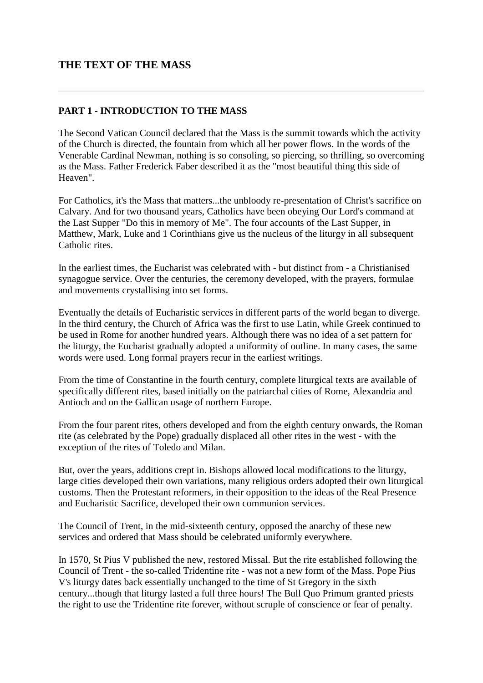# **THE TEXT OF THE MASS**

#### **PART 1 - INTRODUCTION TO THE MASS**

The Second Vatican Council declared that the Mass is the summit towards which the activity of the Church is directed, the fountain from which all her power flows. In the words of the Venerable Cardinal Newman, nothing is so consoling, so piercing, so thrilling, so overcoming as the Mass. Father Frederick Faber described it as the "most beautiful thing this side of Heaven".

For Catholics, it's the Mass that matters...the unbloody re-presentation of Christ's sacrifice on Calvary. And for two thousand years, Catholics have been obeying Our Lord's command at the Last Supper "Do this in memory of Me". The four accounts of the Last Supper, in Matthew, Mark, Luke and 1 Corinthians give us the nucleus of the liturgy in all subsequent Catholic rites.

In the earliest times, the Eucharist was celebrated with - but distinct from - a Christianised synagogue service. Over the centuries, the ceremony developed, with the prayers, formulae and movements crystallising into set forms.

Eventually the details of Eucharistic services in different parts of the world began to diverge. In the third century, the Church of Africa was the first to use Latin, while Greek continued to be used in Rome for another hundred years. Although there was no idea of a set pattern for the liturgy, the Eucharist gradually adopted a uniformity of outline. In many cases, the same words were used. Long formal prayers recur in the earliest writings.

From the time of Constantine in the fourth century, complete liturgical texts are available of specifically different rites, based initially on the patriarchal cities of Rome, Alexandria and Antioch and on the Gallican usage of northern Europe.

From the four parent rites, others developed and from the eighth century onwards, the Roman rite (as celebrated by the Pope) gradually displaced all other rites in the west - with the exception of the rites of Toledo and Milan.

But, over the years, additions crept in. Bishops allowed local modifications to the liturgy, large cities developed their own variations, many religious orders adopted their own liturgical customs. Then the Protestant reformers, in their opposition to the ideas of the Real Presence and Eucharistic Sacrifice, developed their own communion services.

The Council of Trent, in the mid-sixteenth century, opposed the anarchy of these new services and ordered that Mass should be celebrated uniformly everywhere.

In 1570, St Pius V published the new, restored Missal. But the rite established following the Council of Trent - the so-called Tridentine rite - was not a new form of the Mass. Pope Pius V's liturgy dates back essentially unchanged to the time of St Gregory in the sixth century...though that liturgy lasted a full three hours! The Bull Quo Primum granted priests the right to use the Tridentine rite forever, without scruple of conscience or fear of penalty.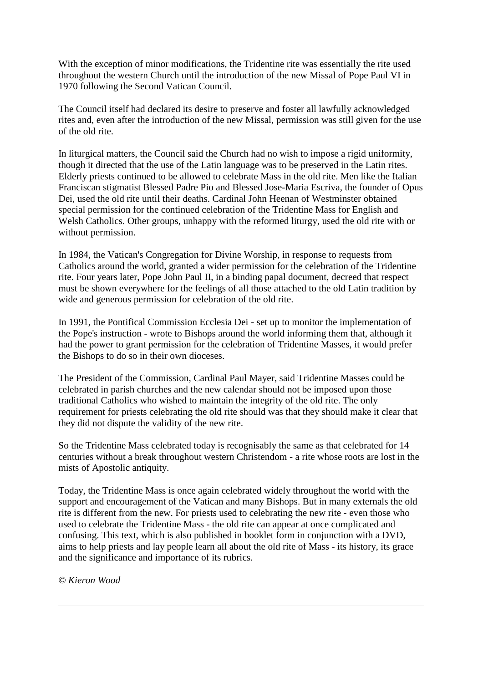With the exception of minor modifications, the Tridentine rite was essentially the rite used throughout the western Church until the introduction of the new Missal of Pope Paul VI in 1970 following the Second Vatican Council.

The Council itself had declared its desire to preserve and foster all lawfully acknowledged rites and, even after the introduction of the new Missal, permission was still given for the use of the old rite.

In liturgical matters, the Council said the Church had no wish to impose a rigid uniformity, though it directed that the use of the Latin language was to be preserved in the Latin rites. Elderly priests continued to be allowed to celebrate Mass in the old rite. Men like the Italian Franciscan stigmatist Blessed Padre Pio and Blessed Jose-Maria Escriva, the founder of Opus Dei, used the old rite until their deaths. Cardinal John Heenan of Westminster obtained special permission for the continued celebration of the Tridentine Mass for English and Welsh Catholics. Other groups, unhappy with the reformed liturgy, used the old rite with or without permission.

In 1984, the Vatican's Congregation for Divine Worship, in response to requests from Catholics around the world, granted a wider permission for the celebration of the Tridentine rite. Four years later, Pope John Paul II, in a binding papal document, decreed that respect must be shown everywhere for the feelings of all those attached to the old Latin tradition by wide and generous permission for celebration of the old rite.

In 1991, the Pontifical Commission Ecclesia Dei - set up to monitor the implementation of the Pope's instruction - wrote to Bishops around the world informing them that, although it had the power to grant permission for the celebration of Tridentine Masses, it would prefer the Bishops to do so in their own dioceses.

The President of the Commission, Cardinal Paul Mayer, said Tridentine Masses could be celebrated in parish churches and the new calendar should not be imposed upon those traditional Catholics who wished to maintain the integrity of the old rite. The only requirement for priests celebrating the old rite should was that they should make it clear that they did not dispute the validity of the new rite.

So the Tridentine Mass celebrated today is recognisably the same as that celebrated for 14 centuries without a break throughout western Christendom - a rite whose roots are lost in the mists of Apostolic antiquity.

Today, the Tridentine Mass is once again celebrated widely throughout the world with the support and encouragement of the Vatican and many Bishops. But in many externals the old rite is different from the new. For priests used to celebrating the new rite - even those who used to celebrate the Tridentine Mass - the old rite can appear at once complicated and confusing. This text, which is also published in booklet form in conjunction with a DVD, aims to help priests and lay people learn all about the old rite of Mass - its history, its grace and the significance and importance of its rubrics.

*© Kieron Wood*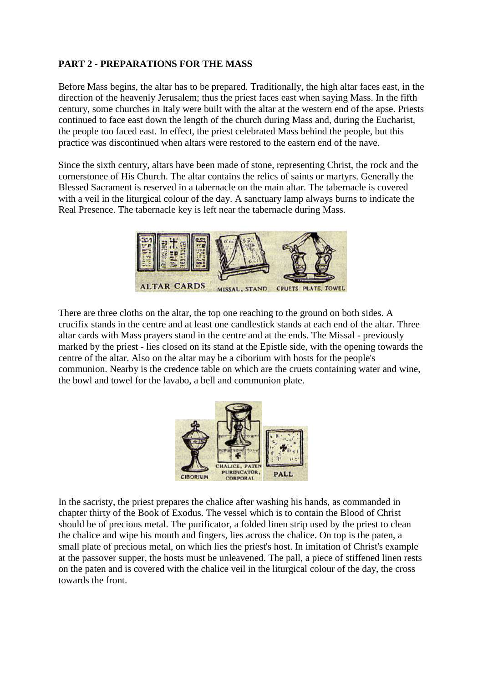## **PART 2 - PREPARATIONS FOR THE MASS**

Before Mass begins, the altar has to be prepared. Traditionally, the high altar faces east, in the direction of the heavenly Jerusalem; thus the priest faces east when saying Mass. In the fifth century, some churches in Italy were built with the altar at the western end of the apse. Priests continued to face east down the length of the church during Mass and, during the Eucharist, the people too faced east. In effect, the priest celebrated Mass behind the people, but this practice was discontinued when altars were restored to the eastern end of the nave.

Since the sixth century, altars have been made of stone, representing Christ, the rock and the cornerstonee of His Church. The altar contains the relics of saints or martyrs. Generally the Blessed Sacrament is reserved in a tabernacle on the main altar. The tabernacle is covered with a veil in the liturgical colour of the day. A sanctuary lamp always burns to indicate the Real Presence. The tabernacle key is left near the tabernacle during Mass.



There are three cloths on the altar, the top one reaching to the ground on both sides. A crucifix stands in the centre and at least one candlestick stands at each end of the altar. Three altar cards with Mass prayers stand in the centre and at the ends. The Missal - previously marked by the priest - lies closed on its stand at the Epistle side, with the opening towards the centre of the altar. Also on the altar may be a ciborium with hosts for the people's communion. Nearby is the credence table on which are the cruets containing water and wine, the bowl and towel for the lavabo, a bell and communion plate.



In the sacristy, the priest prepares the chalice after washing his hands, as commanded in chapter thirty of the Book of Exodus. The vessel which is to contain the Blood of Christ should be of precious metal. The purificator, a folded linen strip used by the priest to clean the chalice and wipe his mouth and fingers, lies across the chalice. On top is the paten, a small plate of precious metal, on which lies the priest's host. In imitation of Christ's example at the passover supper, the hosts must be unleavened. The pall, a piece of stiffened linen rests on the paten and is covered with the chalice veil in the liturgical colour of the day, the cross towards the front.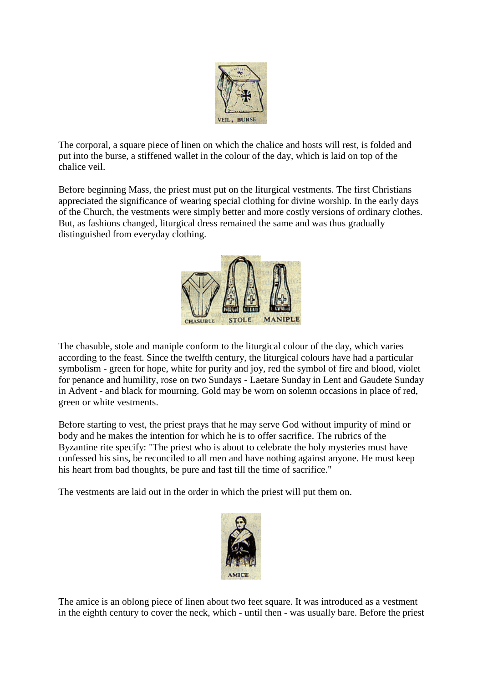

The corporal, a square piece of linen on which the chalice and hosts will rest, is folded and put into the burse, a stiffened wallet in the colour of the day, which is laid on top of the chalice veil.

Before beginning Mass, the priest must put on the liturgical vestments. The first Christians appreciated the significance of wearing special clothing for divine worship. In the early days of the Church, the vestments were simply better and more costly versions of ordinary clothes. But, as fashions changed, liturgical dress remained the same and was thus gradually distinguished from everyday clothing.



The chasuble, stole and maniple conform to the liturgical colour of the day, which varies according to the feast. Since the twelfth century, the liturgical colours have had a particular symbolism - green for hope, white for purity and joy, red the symbol of fire and blood, violet for penance and humility, rose on two Sundays - Laetare Sunday in Lent and Gaudete Sunday in Advent - and black for mourning. Gold may be worn on solemn occasions in place of red, green or white vestments.

Before starting to vest, the priest prays that he may serve God without impurity of mind or body and he makes the intention for which he is to offer sacrifice. The rubrics of the Byzantine rite specify: "The priest who is about to celebrate the holy mysteries must have confessed his sins, be reconciled to all men and have nothing against anyone. He must keep his heart from bad thoughts, be pure and fast till the time of sacrifice."

The vestments are laid out in the order in which the priest will put them on.



The amice is an oblong piece of linen about two feet square. It was introduced as a vestment in the eighth century to cover the neck, which - until then - was usually bare. Before the priest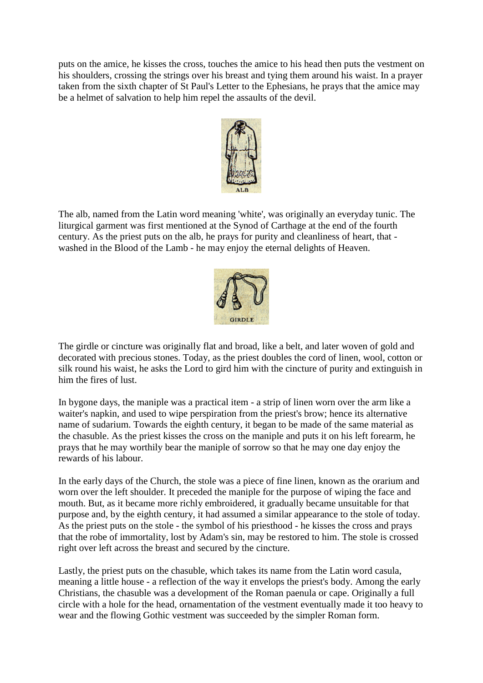puts on the amice, he kisses the cross, touches the amice to his head then puts the vestment on his shoulders, crossing the strings over his breast and tying them around his waist. In a prayer taken from the sixth chapter of St Paul's Letter to the Ephesians, he prays that the amice may be a helmet of salvation to help him repel the assaults of the devil.



The alb, named from the Latin word meaning 'white', was originally an everyday tunic. The liturgical garment was first mentioned at the Synod of Carthage at the end of the fourth century. As the priest puts on the alb, he prays for purity and cleanliness of heart, that washed in the Blood of the Lamb - he may enjoy the eternal delights of Heaven.



The girdle or cincture was originally flat and broad, like a belt, and later woven of gold and decorated with precious stones. Today, as the priest doubles the cord of linen, wool, cotton or silk round his waist, he asks the Lord to gird him with the cincture of purity and extinguish in him the fires of lust.

In bygone days, the maniple was a practical item - a strip of linen worn over the arm like a waiter's napkin, and used to wipe perspiration from the priest's brow; hence its alternative name of sudarium. Towards the eighth century, it began to be made of the same material as the chasuble. As the priest kisses the cross on the maniple and puts it on his left forearm, he prays that he may worthily bear the maniple of sorrow so that he may one day enjoy the rewards of his labour.

In the early days of the Church, the stole was a piece of fine linen, known as the orarium and worn over the left shoulder. It preceded the maniple for the purpose of wiping the face and mouth. But, as it became more richly embroidered, it gradually became unsuitable for that purpose and, by the eighth century, it had assumed a similar appearance to the stole of today. As the priest puts on the stole - the symbol of his priesthood - he kisses the cross and prays that the robe of immortality, lost by Adam's sin, may be restored to him. The stole is crossed right over left across the breast and secured by the cincture.

Lastly, the priest puts on the chasuble, which takes its name from the Latin word casula, meaning a little house - a reflection of the way it envelops the priest's body. Among the early Christians, the chasuble was a development of the Roman paenula or cape. Originally a full circle with a hole for the head, ornamentation of the vestment eventually made it too heavy to wear and the flowing Gothic vestment was succeeded by the simpler Roman form.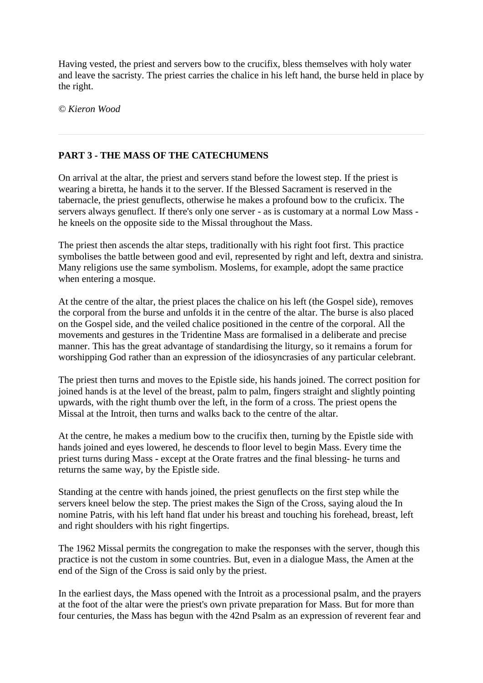Having vested, the priest and servers bow to the crucifix, bless themselves with holy water and leave the sacristy. The priest carries the chalice in his left hand, the burse held in place by the right.

*© Kieron Wood*

## **PART 3 - THE MASS OF THE CATECHUMENS**

On arrival at the altar, the priest and servers stand before the lowest step. If the priest is wearing a biretta, he hands it to the server. If the Blessed Sacrament is reserved in the tabernacle, the priest genuflects, otherwise he makes a profound bow to the cruficix. The servers always genuflect. If there's only one server - as is customary at a normal Low Mass he kneels on the opposite side to the Missal throughout the Mass.

The priest then ascends the altar steps, traditionally with his right foot first. This practice symbolises the battle between good and evil, represented by right and left, dextra and sinistra. Many religions use the same symbolism. Moslems, for example, adopt the same practice when entering a mosque.

At the centre of the altar, the priest places the chalice on his left (the Gospel side), removes the corporal from the burse and unfolds it in the centre of the altar. The burse is also placed on the Gospel side, and the veiled chalice positioned in the centre of the corporal. All the movements and gestures in the Tridentine Mass are formalised in a deliberate and precise manner. This has the great advantage of standardising the liturgy, so it remains a forum for worshipping God rather than an expression of the idiosyncrasies of any particular celebrant.

The priest then turns and moves to the Epistle side, his hands joined. The correct position for joined hands is at the level of the breast, palm to palm, fingers straight and slightly pointing upwards, with the right thumb over the left, in the form of a cross. The priest opens the Missal at the Introit, then turns and walks back to the centre of the altar.

At the centre, he makes a medium bow to the crucifix then, turning by the Epistle side with hands joined and eyes lowered, he descends to floor level to begin Mass. Every time the priest turns during Mass - except at the Orate fratres and the final blessing- he turns and returns the same way, by the Epistle side.

Standing at the centre with hands joined, the priest genuflects on the first step while the servers kneel below the step. The priest makes the Sign of the Cross, saying aloud the In nomine Patris, with his left hand flat under his breast and touching his forehead, breast, left and right shoulders with his right fingertips.

The 1962 Missal permits the congregation to make the responses with the server, though this practice is not the custom in some countries. But, even in a dialogue Mass, the Amen at the end of the Sign of the Cross is said only by the priest.

In the earliest days, the Mass opened with the Introit as a processional psalm, and the prayers at the foot of the altar were the priest's own private preparation for Mass. But for more than four centuries, the Mass has begun with the 42nd Psalm as an expression of reverent fear and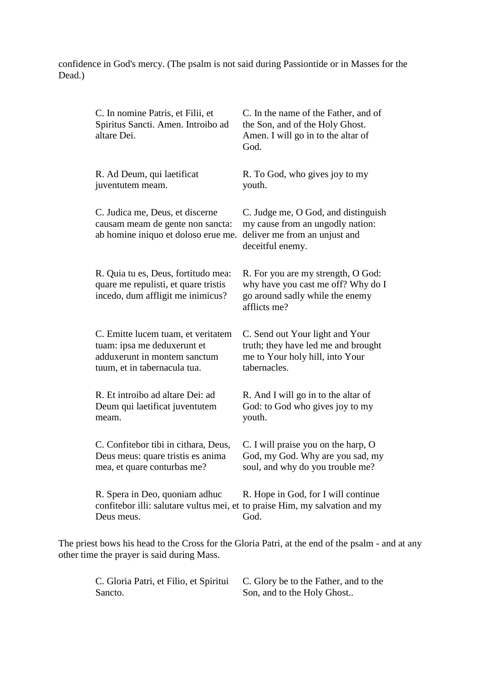confidence in God's mercy. (The psalm is not said during Passiontide or in Masses for the Dead.)

| C. In nomine Patris, et Filii, et<br>Spiritus Sancti. Amen. Introibo ad<br>altare Dei.                                            | C. In the name of the Father, and of<br>the Son, and of the Holy Ghost.<br>Amen. I will go in to the altar of<br>God.        |
|-----------------------------------------------------------------------------------------------------------------------------------|------------------------------------------------------------------------------------------------------------------------------|
| R. Ad Deum, qui laetificat<br>juventutem meam.                                                                                    | R. To God, who gives joy to my<br>youth.                                                                                     |
| C. Judica me, Deus, et discerne<br>causam meam de gente non sancta:<br>ab homine iniquo et doloso erue me.                        | C. Judge me, O God, and distinguish<br>my cause from an ungodly nation:<br>deliver me from an unjust and<br>deceitful enemy. |
| R. Quia tu es, Deus, fortitudo mea:<br>quare me repulisti, et quare tristis<br>incedo, dum affligit me inimicus?                  | R. For you are my strength, O God:<br>why have you cast me off? Why do I<br>go around sadly while the enemy<br>afflicts me?  |
| C. Emitte lucem tuam, et veritatem<br>tuam: ipsa me deduxerunt et<br>adduxerunt in montem sanctum<br>tuum, et in tabernacula tua. | C. Send out Your light and Your<br>truth; they have led me and brought<br>me to Your holy hill, into Your<br>tabernacles.    |
| R. Et introibo ad altare Dei: ad<br>Deum qui laetificat juventutem<br>meam.                                                       | R. And I will go in to the altar of<br>God: to God who gives joy to my<br>youth.                                             |
| C. Confitebor tibi in cithara, Deus,<br>Deus meus: quare tristis es anima<br>mea, et quare conturbas me?                          | C. I will praise you on the harp, O<br>God, my God. Why are you sad, my<br>soul, and why do you trouble me?                  |
| R. Spera in Deo, quoniam adhuc<br>confitebor illi: salutare vultus mei, et to praise Him, my salvation and my<br>Deus meus.       | R. Hope in God, for I will continue<br>God.                                                                                  |
|                                                                                                                                   | The priest bows his head to the Cross for the Gloria Patri, at the end of the psalm - and at any                             |

other time the prayer is said during Mass.

C. Gloria Patri, et Filio, et Spiritui Sancto. C. Glory be to the Father, and to the Son, and to the Holy Ghost..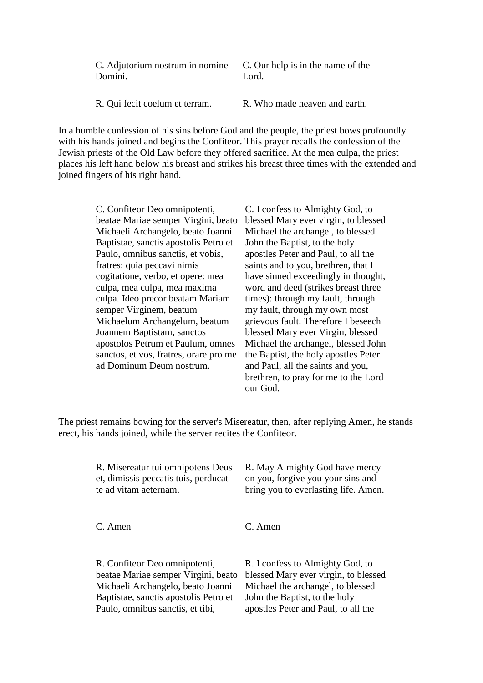C. Adjutorium nostrum in nomine Domini.

C. Our help is in the name of the Lord.

R. Qui fecit coelum et terram. R. Who made heaven and earth.

In a humble confession of his sins before God and the people, the priest bows profoundly with his hands joined and begins the Confiteor. This prayer recalls the confession of the Jewish priests of the Old Law before they offered sacrifice. At the mea culpa, the priest places his left hand below his breast and strikes his breast three times with the extended and joined fingers of his right hand.

> C. Confiteor Deo omnipotenti, beatae Mariae semper Virgini, beato Michaeli Archangelo, beato Joanni Baptistae, sanctis apostolis Petro et Paulo, omnibus sanctis, et vobis, fratres: quia peccavi nimis cogitatione, verbo, et opere: mea culpa, mea culpa, mea maxima culpa. Ideo precor beatam Mariam semper Virginem, beatum Michaelum Archangelum, beatum Joannem Baptistam, sanctos apostolos Petrum et Paulum, omnes sanctos, et vos, fratres, orare pro me ad Dominum Deum nostrum.

C. I confess to Almighty God, to blessed Mary ever virgin, to blessed Michael the archangel, to blessed John the Baptist, to the holy apostles Peter and Paul, to all the saints and to you, brethren, that I have sinned exceedingly in thought, word and deed (strikes breast three times): through my fault, through my fault, through my own most grievous fault. Therefore I beseech blessed Mary ever Virgin, blessed Michael the archangel, blessed John the Baptist, the holy apostles Peter and Paul, all the saints and you, brethren, to pray for me to the Lord our God.

The priest remains bowing for the server's Misereatur, then, after replying Amen, he stands erect, his hands joined, while the server recites the Confiteor.

| R. Misereatur tui omnipotens Deus    | R. May Almighty God have mercy       |
|--------------------------------------|--------------------------------------|
| et, dimissis peccatis tuis, perducat | on you, forgive you your sins and    |
| te ad vitam aeternam.                | bring you to everlasting life. Amen. |
| C. Amen                              | C. Amen                              |

R. Confiteor Deo omnipotenti, beatae Mariae semper Virgini, beato Michaeli Archangelo, beato Joanni Baptistae, sanctis apostolis Petro et Paulo, omnibus sanctis, et tibi, R. I confess to Almighty God, to blessed Mary ever virgin, to blessed Michael the archangel, to blessed John the Baptist, to the holy apostles Peter and Paul, to all the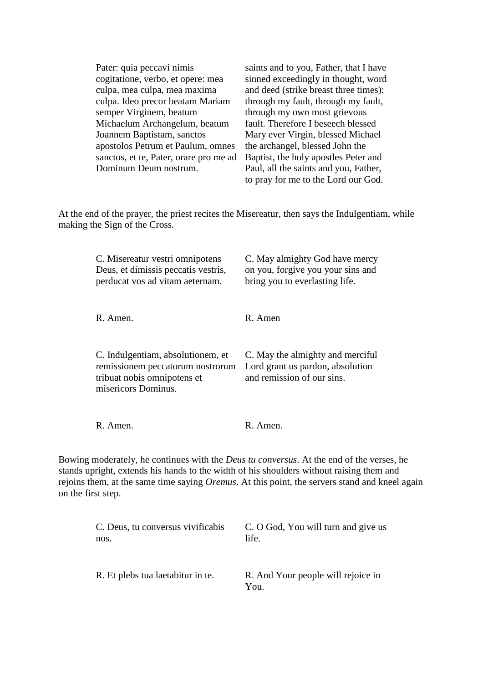| Pater: quia peccavi nimis              | saints and to you, Father, that I have |
|----------------------------------------|----------------------------------------|
| cogitatione, verbo, et opere: mea      | sinned exceedingly in thought, word    |
| culpa, mea culpa, mea maxima           | and deed (strike breast three times):  |
| culpa. Ideo precor beatam Mariam       | through my fault, through my fault,    |
| semper Virginem, beatum                | through my own most grievous           |
| Michaelum Archangelum, beatum          | fault. Therefore I beseech blessed     |
| Joannem Baptistam, sanctos             | Mary ever Virgin, blessed Michael      |
| apostolos Petrum et Paulum, omnes      | the archangel, blessed John the        |
| sanctos, et te, Pater, orare pro me ad | Baptist, the holy apostles Peter and   |
| Dominum Deum nostrum.                  | Paul, all the saints and you, Father,  |
|                                        | to pray for me to the Lord our God.    |

At the end of the prayer, the priest recites the Misereatur, then says the Indulgentiam, while making the Sign of the Cross.

| C. Misereatur vestri omnipotens<br>Deus, et dimissis peccatis vestris,<br>perducat vos ad vitam aeternam.                   | C. May almighty God have mercy<br>on you, forgive you your sins and<br>bring you to everlasting life. |
|-----------------------------------------------------------------------------------------------------------------------------|-------------------------------------------------------------------------------------------------------|
| R. Amen.                                                                                                                    | R. Amen                                                                                               |
| C. Indulgentiam, absolutionem, et<br>remissionem peccatorum nostrorum<br>tribuat nobis omnipotens et<br>misericors Dominus. | C. May the almighty and merciful<br>Lord grant us pardon, absolution<br>and remission of our sins.    |
| R. Amen.                                                                                                                    | $R.$ Amen.                                                                                            |

Bowing moderately, he continues with the *Deus tu conversus*. At the end of the verses, he stands upright, extends his hands to the width of his shoulders without raising them and rejoins them, at the same time saying *Oremus*. At this point, the servers stand and kneel again on the first step.

| C. Deus, tu conversus vivificabis | C. O God, You will turn and give us        |
|-----------------------------------|--------------------------------------------|
| nos.                              | life.                                      |
| R. Et plebs tua laetabitur in te. | R. And Your people will rejoice in<br>You. |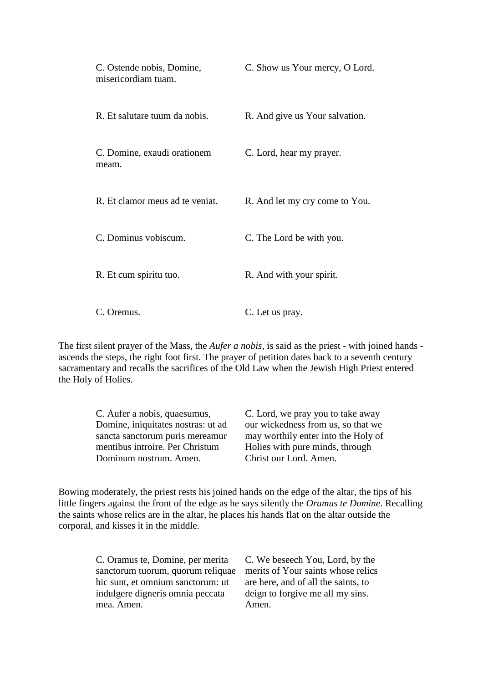| C. Ostende nobis, Domine,<br>misericordiam tuam. | C. Show us Your mercy, O Lord. |
|--------------------------------------------------|--------------------------------|
| R. Et salutare tuum da nobis.                    | R. And give us Your salvation. |
| C. Domine, exaudi orationem<br>meam.             | C. Lord, hear my prayer.       |
| R. Et clamor meus ad te veniat.                  | R. And let my cry come to You. |
| C. Dominus vobiscum.                             | C. The Lord be with you.       |
| R. Et cum spiritu tuo.                           | R. And with your spirit.       |
| C. Oremus.                                       | C. Let us pray.                |

The first silent prayer of the Mass, the *Aufer a nobis*, is said as the priest - with joined hands ascends the steps, the right foot first. The prayer of petition dates back to a seventh century sacramentary and recalls the sacrifices of the Old Law when the Jewish High Priest entered the Holy of Holies.

C. Aufer a nobis, quaesumus, Domine, iniquitates nostras: ut ad sancta sanctorum puris mereamur mentibus introire. Per Christum Dominum nostrum. Amen.

C. Lord, we pray you to take away our wickedness from us, so that we may worthily enter into the Holy of Holies with pure minds, through Christ our Lord. Amen.

Bowing moderately, the priest rests his joined hands on the edge of the altar, the tips of his little fingers against the front of the edge as he says silently the *Oramus te Domine*. Recalling the saints whose relics are in the altar, he places his hands flat on the altar outside the corporal, and kisses it in the middle.

| C. Oramus te, Domine, per merita  | C. We beseech You, Lord, by the     |
|-----------------------------------|-------------------------------------|
| sanctorum tuorum, quorum reliquae | merits of Your saints whose relics  |
| hic sunt, et omnium sanctorum: ut | are here, and of all the saints, to |
| indulgere digneris omnia peccata  | deign to forgive me all my sins.    |
| mea. Amen.                        | Amen.                               |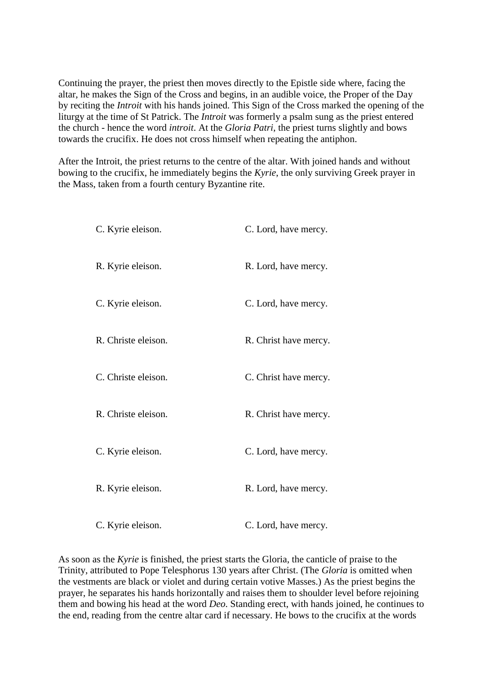Continuing the prayer, the priest then moves directly to the Epistle side where, facing the altar, he makes the Sign of the Cross and begins, in an audible voice, the Proper of the Day by reciting the *Introit* with his hands joined. This Sign of the Cross marked the opening of the liturgy at the time of St Patrick. The *Introit* was formerly a psalm sung as the priest entered the church - hence the word *introit*. At the *Gloria Patri*, the priest turns slightly and bows towards the crucifix. He does not cross himself when repeating the antiphon.

After the Introit, the priest returns to the centre of the altar. With joined hands and without bowing to the crucifix, he immediately begins the *Kyrie*, the only surviving Greek prayer in the Mass, taken from a fourth century Byzantine rite.

| C. Kyrie eleison.   | C. Lord, have mercy.  |
|---------------------|-----------------------|
| R. Kyrie eleison.   | R. Lord, have mercy.  |
| C. Kyrie eleison.   | C. Lord, have mercy.  |
| R. Christe eleison. | R. Christ have mercy. |
| C. Christe eleison. | C. Christ have mercy. |
| R. Christe eleison. | R. Christ have mercy. |
| C. Kyrie eleison.   | C. Lord, have mercy.  |
| R. Kyrie eleison.   | R. Lord, have mercy.  |
| C. Kyrie eleison.   | C. Lord, have mercy.  |

As soon as the *Kyrie* is finished, the priest starts the Gloria, the canticle of praise to the Trinity, attributed to Pope Telesphorus 130 years after Christ. (The *Gloria* is omitted when the vestments are black or violet and during certain votive Masses.) As the priest begins the prayer, he separates his hands horizontally and raises them to shoulder level before rejoining them and bowing his head at the word *Deo*. Standing erect, with hands joined, he continues to the end, reading from the centre altar card if necessary. He bows to the crucifix at the words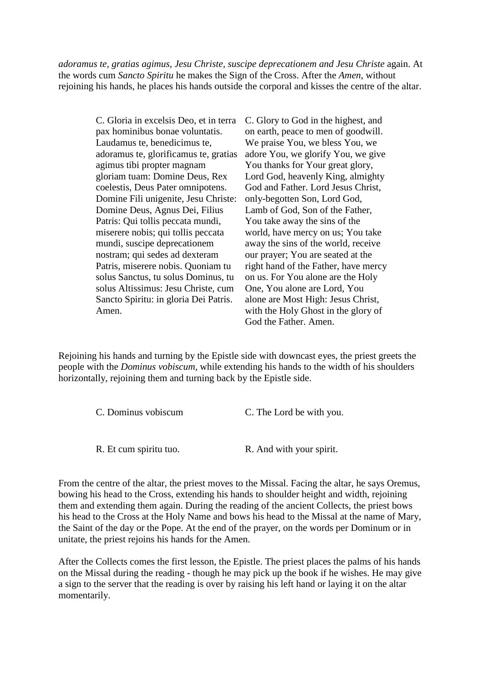*adoramus te, gratias agimus, Jesu Christe, suscipe deprecationem and Jesu Christe* again. At the words cum *Sancto Spiritu* he makes the Sign of the Cross. After the *Amen*, without rejoining his hands, he places his hands outside the corporal and kisses the centre of the altar.

> C. Gloria in excelsis Deo, et in terra pax hominibus bonae voluntatis. Laudamus te, benedicimus te, adoramus te, glorificamus te, gratias agimus tibi propter magnam gloriam tuam: Domine Deus, Rex coelestis, Deus Pater omnipotens. Domine Fili unigenite, Jesu Christe: Domine Deus, Agnus Dei, Filius Patris: Qui tollis peccata mundi, miserere nobis; qui tollis peccata mundi, suscipe deprecationem nostram; qui sedes ad dexteram Patris, miserere nobis. Quoniam tu solus Sanctus, tu solus Dominus, tu solus Altissimus: Jesu Christe, cum Sancto Spiritu: in gloria Dei Patris. Amen.

C. Glory to God in the highest, and on earth, peace to men of goodwill. We praise You, we bless You, we adore You, we glorify You, we give You thanks for Your great glory, Lord God, heavenly King, almighty God and Father. Lord Jesus Christ, only-begotten Son, Lord God, Lamb of God, Son of the Father, You take away the sins of the world, have mercy on us; You take away the sins of the world, receive our prayer; You are seated at the right hand of the Father, have mercy on us. For You alone are the Holy One, You alone are Lord, You alone are Most High: Jesus Christ, with the Holy Ghost in the glory of God the Father. Amen.

Rejoining his hands and turning by the Epistle side with downcast eyes, the priest greets the people with the *Dominus vobiscum*, while extending his hands to the width of his shoulders horizontally, rejoining them and turning back by the Epistle side.

| C. Dominus vobiscum    | C. The Lord be with you. |  |
|------------------------|--------------------------|--|
|                        |                          |  |
| R. Et cum spiritu tuo. | R. And with your spirit. |  |

From the centre of the altar, the priest moves to the Missal. Facing the altar, he says Oremus, bowing his head to the Cross, extending his hands to shoulder height and width, rejoining them and extending them again. During the reading of the ancient Collects, the priest bows his head to the Cross at the Holy Name and bows his head to the Missal at the name of Mary, the Saint of the day or the Pope. At the end of the prayer, on the words per Dominum or in unitate, the priest rejoins his hands for the Amen.

After the Collects comes the first lesson, the Epistle. The priest places the palms of his hands on the Missal during the reading - though he may pick up the book if he wishes. He may give a sign to the server that the reading is over by raising his left hand or laying it on the altar momentarily.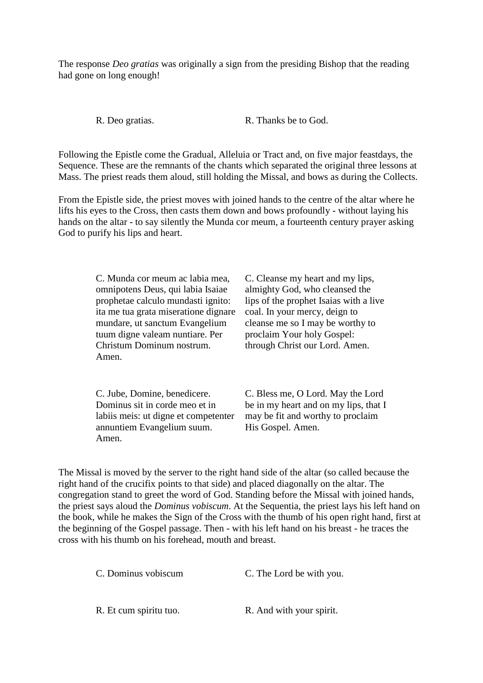The response *Deo gratias* was originally a sign from the presiding Bishop that the reading had gone on long enough!

R. Deo gratias. R. Thanks be to God.

Following the Epistle come the Gradual, Alleluia or Tract and, on five major feastdays, the Sequence. These are the remnants of the chants which separated the original three lessons at Mass. The priest reads them aloud, still holding the Missal, and bows as during the Collects.

From the Epistle side, the priest moves with joined hands to the centre of the altar where he lifts his eyes to the Cross, then casts them down and bows profoundly - without laying his hands on the altar - to say silently the Munda cor meum, a fourteenth century prayer asking God to purify his lips and heart.

> C. Munda cor meum ac labia mea, omnipotens Deus, qui labia Isaiae prophetae calculo mundasti ignito: ita me tua grata miseratione dignare mundare, ut sanctum Evangelium tuum digne valeam nuntiare. Per Christum Dominum nostrum. Amen.

> C. Jube, Domine, benedicere. Dominus sit in corde meo et in labiis meis: ut digne et competenter annuntiem Evangelium suum. Amen.

C. Cleanse my heart and my lips, almighty God, who cleansed the lips of the prophet Isaias with a live coal. In your mercy, deign to cleanse me so I may be worthy to proclaim Your holy Gospel: through Christ our Lord. Amen.

C. Bless me, O Lord. May the Lord be in my heart and on my lips, that I may be fit and worthy to proclaim His Gospel. Amen.

The Missal is moved by the server to the right hand side of the altar (so called because the right hand of the crucifix points to that side) and placed diagonally on the altar. The congregation stand to greet the word of God. Standing before the Missal with joined hands, the priest says aloud the *Dominus vobiscum*. At the Sequentia, the priest lays his left hand on the book, while he makes the Sign of the Cross with the thumb of his open right hand, first at the beginning of the Gospel passage. Then - with his left hand on his breast - he traces the cross with his thumb on his forehead, mouth and breast.

C. Dominus vobiscum C. The Lord be with you.

R. Et cum spiritu tuo. R. And with your spirit.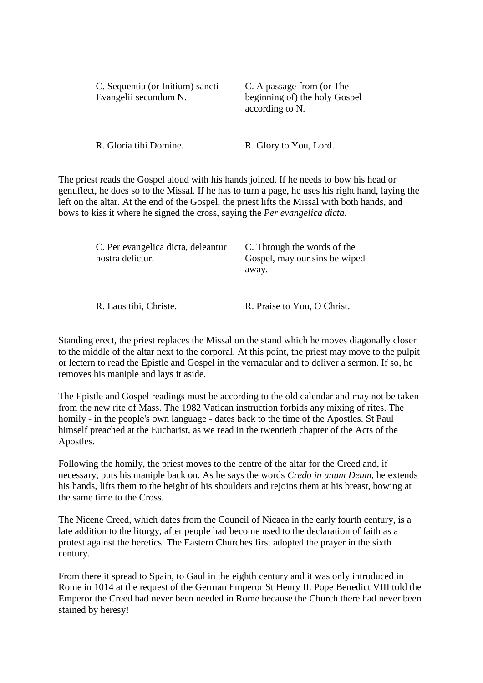| C. Sequentia (or Initium) sancti<br>Evangelii secundum N. | C. A passage from (or The<br>beginning of) the holy Gospel<br>according to N. |
|-----------------------------------------------------------|-------------------------------------------------------------------------------|
| R. Gloria tibi Domine.                                    | R. Glory to You, Lord.                                                        |

The priest reads the Gospel aloud with his hands joined. If he needs to bow his head or genuflect, he does so to the Missal. If he has to turn a page, he uses his right hand, laying the left on the altar. At the end of the Gospel, the priest lifts the Missal with both hands, and bows to kiss it where he signed the cross, saying the *Per evangelica dicta*.

| C. Per evangelica dicta, deleantur<br>nostra delictur. | C. Through the words of the<br>Gospel, may our sins be wiped<br>away. |
|--------------------------------------------------------|-----------------------------------------------------------------------|
|                                                        |                                                                       |

R. Laus tibi, Christe. R. Praise to You, O Christ.

Standing erect, the priest replaces the Missal on the stand which he moves diagonally closer to the middle of the altar next to the corporal. At this point, the priest may move to the pulpit or lectern to read the Epistle and Gospel in the vernacular and to deliver a sermon. If so, he removes his maniple and lays it aside.

The Epistle and Gospel readings must be according to the old calendar and may not be taken from the new rite of Mass. The 1982 Vatican instruction forbids any mixing of rites. The homily - in the people's own language - dates back to the time of the Apostles. St Paul himself preached at the Eucharist, as we read in the twentieth chapter of the Acts of the Apostles.

Following the homily, the priest moves to the centre of the altar for the Creed and, if necessary, puts his maniple back on. As he says the words *Credo in unum Deum*, he extends his hands, lifts them to the height of his shoulders and rejoins them at his breast, bowing at the same time to the Cross.

The Nicene Creed, which dates from the Council of Nicaea in the early fourth century, is a late addition to the liturgy, after people had become used to the declaration of faith as a protest against the heretics. The Eastern Churches first adopted the prayer in the sixth century.

From there it spread to Spain, to Gaul in the eighth century and it was only introduced in Rome in 1014 at the request of the German Emperor St Henry II. Pope Benedict VIII told the Emperor the Creed had never been needed in Rome because the Church there had never been stained by heresy!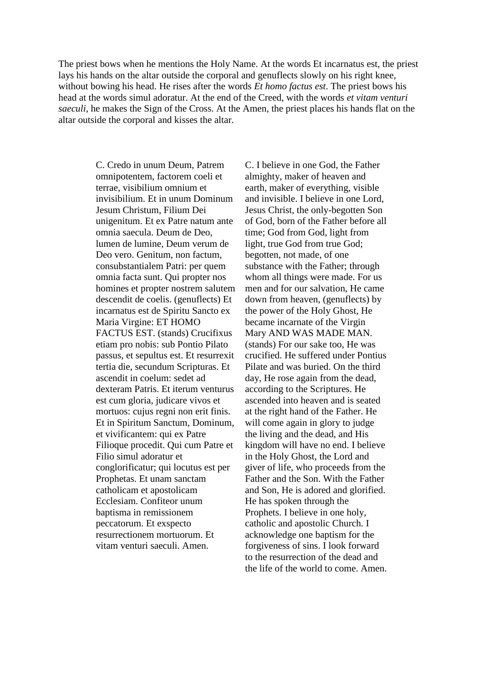The priest bows when he mentions the Holy Name. At the words Et incarnatus est, the priest lays his hands on the altar outside the corporal and genuflects slowly on his right knee, without bowing his head. He rises after the words *Et homo factus est*. The priest bows his head at the words simul adoratur. At the end of the Creed, with the words *et vitam venturi saeculi*, he makes the Sign of the Cross. At the Amen, the priest places his hands flat on the altar outside the corporal and kisses the altar.

> C. Credo in unum Deum, Patrem omnipotentem, factorem coeli et terrae, visibilium omnium et invisibilium. Et in unum Dominum Jesum Christum, Filium Dei unigenitum. Et ex Patre natum ante omnia saecula. Deum de Deo, lumen de lumine, Deum verum de Deo vero. Genitum, non factum, consubstantialem Patri: per quem omnia facta sunt. Qui propter nos homines et propter nostrem salutem descendit de coelis. (genuflects) Et incarnatus est de Spiritu Sancto ex Maria Virgine: ET HOMO FACTUS EST. (stands) Crucifixus etiam pro nobis: sub Pontio Pilato passus, et sepultus est. Et resurrexit tertia die, secundum Scripturas. Et ascendit in coelum: sedet ad dexteram Patris. Et iterum venturus est cum gloria, judicare vivos et mortuos: cujus regni non erit finis. Et in Spiritum Sanctum, Dominum, et vivificantem: qui ex Patre Filioque procedit. Qui cum Patre et Filio simul adoratur et conglorificatur; qui locutus est per Prophetas. Et unam sanctam catholicam et apostolicam Ecclesiam. Confiteor unum baptisma in remissionem peccatorum. Et exspecto resurrectionem mortuorum. Et vitam venturi saeculi. Amen.

C. I believe in one God, the Father almighty, maker of heaven and earth, maker of everything, visible and invisible. I believe in one Lord, Jesus Christ, the only-begotten Son of God, born of the Father before all time; God from God, light from light, true God from true God; begotten, not made, of one substance with the Father; through whom all things were made. For us men and for our salvation, He came down from heaven, (genuflects) by the power of the Holy Ghost, He became incarnate of the Virgin Mary AND WAS MADE MAN. (stands) For our sake too, He was crucified. He suffered under Pontius Pilate and was buried. On the third day, He rose again from the dead, according to the Scriptures. He ascended into heaven and is seated at the right hand of the Father. He will come again in glory to judge the living and the dead, and His kingdom will have no end. I believe in the Holy Ghost, the Lord and giver of life, who proceeds from the Father and the Son. With the Father and Son, He is adored and glorified. He has spoken through the Prophets. I believe in one holy, catholic and apostolic Church. I acknowledge one baptism for the forgiveness of sins. I look forward to the resurrection of the dead and the life of the world to come. Amen.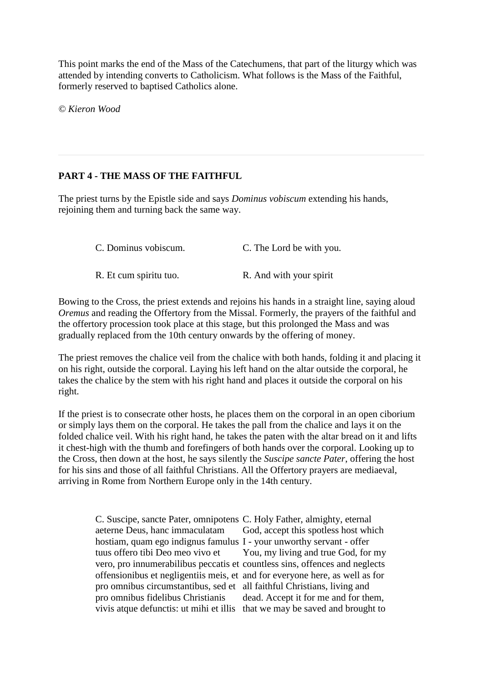This point marks the end of the Mass of the Catechumens, that part of the liturgy which was attended by intending converts to Catholicism. What follows is the Mass of the Faithful, formerly reserved to baptised Catholics alone.

*© Kieron Wood*

## **PART 4 - THE MASS OF THE FAITHFUL**

The priest turns by the Epistle side and says *Dominus vobiscum* extending his hands, rejoining them and turning back the same way.

| C. Dominus vobiscum.   | C. The Lord be with you. |
|------------------------|--------------------------|
| R. Et cum spiritu tuo. | R. And with your spirit  |

Bowing to the Cross, the priest extends and rejoins his hands in a straight line, saying aloud *Oremus* and reading the Offertory from the Missal. Formerly, the prayers of the faithful and the offertory procession took place at this stage, but this prolonged the Mass and was gradually replaced from the 10th century onwards by the offering of money.

The priest removes the chalice veil from the chalice with both hands, folding it and placing it on his right, outside the corporal. Laying his left hand on the altar outside the corporal, he takes the chalice by the stem with his right hand and places it outside the corporal on his right.

If the priest is to consecrate other hosts, he places them on the corporal in an open ciborium or simply lays them on the corporal. He takes the pall from the chalice and lays it on the folded chalice veil. With his right hand, he takes the paten with the altar bread on it and lifts it chest-high with the thumb and forefingers of both hands over the corporal. Looking up to the Cross, then down at the host, he says silently the *Suscipe sancte Pater*, offering the host for his sins and those of all faithful Christians. All the Offertory prayers are mediaeval, arriving in Rome from Northern Europe only in the 14th century.

> C. Suscipe, sancte Pater, omnipotens C. Holy Father, almighty, eternal aeterne Deus, hanc immaculatam hostiam, quam ego indignus famulus I - your unworthy servant - offer tuus offero tibi Deo meo vivo et vero, pro innumerabilibus peccatis et countless sins, offences and neglects offensionibus et negligentiis meis, et and for everyone here, as well as for pro omnibus circumstantibus, sed et all faithful Christians, living and pro omnibus fidelibus Christianis vivis atque defunctis: ut mihi et illis that we may be saved and brought to God, accept this spotless host which You, my living and true God, for my dead. Accept it for me and for them,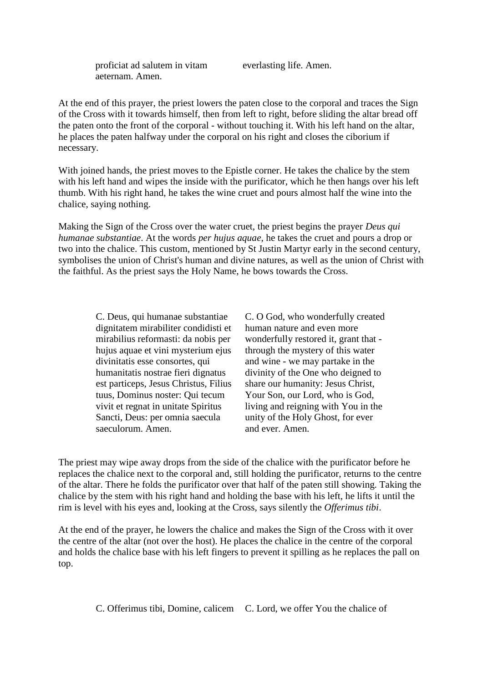proficiat ad salutem in vitam aeternam. Amen.

everlasting life. Amen.

At the end of this prayer, the priest lowers the paten close to the corporal and traces the Sign of the Cross with it towards himself, then from left to right, before sliding the altar bread off the paten onto the front of the corporal - without touching it. With his left hand on the altar, he places the paten halfway under the corporal on his right and closes the ciborium if necessary.

With joined hands, the priest moves to the Epistle corner. He takes the chalice by the stem with his left hand and wipes the inside with the purificator, which he then hangs over his left thumb. With his right hand, he takes the wine cruet and pours almost half the wine into the chalice, saying nothing.

Making the Sign of the Cross over the water cruet, the priest begins the prayer *Deus qui humanae substantiae*. At the words *per hujus aquae*, he takes the cruet and pours a drop or two into the chalice. This custom, mentioned by St Justin Martyr early in the second century, symbolises the union of Christ's human and divine natures, as well as the union of Christ with the faithful. As the priest says the Holy Name, he bows towards the Cross.

> C. Deus, qui humanae substantiae dignitatem mirabiliter condidisti et mirabilius reformasti: da nobis per hujus aquae et vini mysterium ejus divinitatis esse consortes, qui humanitatis nostrae fieri dignatus est particeps, Jesus Christus, Filius tuus, Dominus noster: Qui tecum vivit et regnat in unitate Spiritus Sancti, Deus: per omnia saecula saeculorum. Amen.

C. O God, who wonderfully created human nature and even more wonderfully restored it, grant that through the mystery of this water and wine - we may partake in the divinity of the One who deigned to share our humanity: Jesus Christ, Your Son, our Lord, who is God, living and reigning with You in the unity of the Holy Ghost, for ever and ever. Amen.

The priest may wipe away drops from the side of the chalice with the purificator before he replaces the chalice next to the corporal and, still holding the purificator, returns to the centre of the altar. There he folds the purificator over that half of the paten still showing. Taking the chalice by the stem with his right hand and holding the base with his left, he lifts it until the rim is level with his eyes and, looking at the Cross, says silently the *Offerimus tibi*.

At the end of the prayer, he lowers the chalice and makes the Sign of the Cross with it over the centre of the altar (not over the host). He places the chalice in the centre of the corporal and holds the chalice base with his left fingers to prevent it spilling as he replaces the pall on top.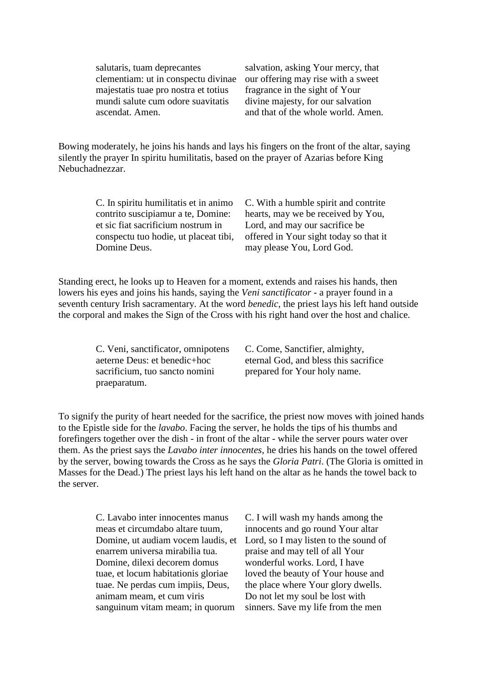salutaris, tuam deprecantes clementiam: ut in conspectu divinae majestatis tuae pro nostra et totius mundi salute cum odore suavitatis ascendat. Amen.

salvation, asking Your mercy, that our offering may rise with a sweet fragrance in the sight of Your divine majesty, for our salvation and that of the whole world. Amen.

Bowing moderately, he joins his hands and lays his fingers on the front of the altar, saying silently the prayer In spiritu humilitatis, based on the prayer of Azarias before King Nebuchadnezzar.

> C. In spiritu humilitatis et in animo contrito suscipiamur a te, Domine: et sic fiat sacrificium nostrum in conspectu tuo hodie, ut placeat tibi, Domine Deus.

C. With a humble spirit and contrite hearts, may we be received by You, Lord, and may our sacrifice be offered in Your sight today so that it may please You, Lord God.

Standing erect, he looks up to Heaven for a moment, extends and raises his hands, then lowers his eyes and joins his hands, saying the *Veni sanctificator* - a prayer found in a seventh century Irish sacramentary. At the word *benedic*, the priest lays his left hand outside the corporal and makes the Sign of the Cross with his right hand over the host and chalice.

> C. Veni, sanctificator, omnipotens aeterne Deus: et benedic+hoc sacrificium, tuo sancto nomini praeparatum.

C. Come, Sanctifier, almighty, eternal God, and bless this sacrifice prepared for Your holy name.

To signify the purity of heart needed for the sacrifice, the priest now moves with joined hands to the Epistle side for the *lavabo*. Facing the server, he holds the tips of his thumbs and forefingers together over the dish - in front of the altar - while the server pours water over them. As the priest says the *Lavabo inter innocentes*, he dries his hands on the towel offered by the server, bowing towards the Cross as he says the *Gloria Patri*. (The Gloria is omitted in Masses for the Dead.) The priest lays his left hand on the altar as he hands the towel back to the server.

> C. Lavabo inter innocentes manus meas et circumdabo altare tuum, Domine, ut audiam vocem laudis, et enarrem universa mirabilia tua. Domine, dilexi decorem domus tuae, et locum habitationis gloriae tuae. Ne perdas cum impiis, Deus, animam meam, et cum viris sanguinum vitam meam; in quorum

C. I will wash my hands among the innocents and go round Your altar Lord, so I may listen to the sound of praise and may tell of all Your wonderful works. Lord, I have loved the beauty of Your house and the place where Your glory dwells. Do not let my soul be lost with sinners. Save my life from the men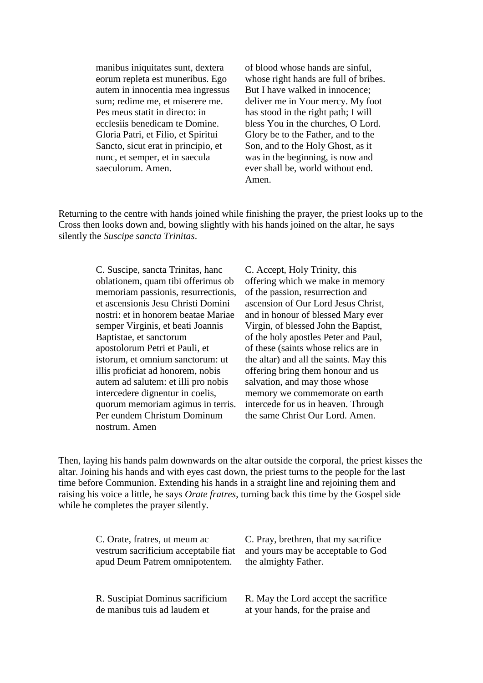manibus iniquitates sunt, dextera eorum repleta est muneribus. Ego autem in innocentia mea ingressus sum; redime me, et miserere me. Pes meus statit in directo: in ecclesiis benedicam te Domine. Gloria Patri, et Filio, et Spiritui Sancto, sicut erat in principio, et nunc, et semper, et in saecula saeculorum. Amen.

of blood whose hands are sinful, whose right hands are full of bribes. But I have walked in innocence; deliver me in Your mercy. My foot has stood in the right path; I will bless You in the churches, O Lord. Glory be to the Father, and to the Son, and to the Holy Ghost, as it was in the beginning, is now and ever shall be, world without end. Amen.

Returning to the centre with hands joined while finishing the prayer, the priest looks up to the Cross then looks down and, bowing slightly with his hands joined on the altar, he says silently the *Suscipe sancta Trinitas*.

> C. Suscipe, sancta Trinitas, hanc oblationem, quam tibi offerimus ob memoriam passionis, resurrectionis, et ascensionis Jesu Christi Domini nostri: et in honorem beatae Mariae semper Virginis, et beati Joannis Baptistae, et sanctorum apostolorum Petri et Pauli, et istorum, et omnium sanctorum: ut illis proficiat ad honorem, nobis autem ad salutem: et illi pro nobis intercedere dignentur in coelis, quorum memoriam agimus in terris. Per eundem Christum Dominum nostrum. Amen

C. Accept, Holy Trinity, this offering which we make in memory of the passion, resurrection and ascension of Our Lord Jesus Christ, and in honour of blessed Mary ever Virgin, of blessed John the Baptist, of the holy apostles Peter and Paul, of these (saints whose relics are in the altar) and all the saints. May this offering bring them honour and us salvation, and may those whose memory we commemorate on earth intercede for us in heaven. Through the same Christ Our Lord. Amen.

Then, laying his hands palm downwards on the altar outside the corporal, the priest kisses the altar. Joining his hands and with eyes cast down, the priest turns to the people for the last time before Communion. Extending his hands in a straight line and rejoining them and raising his voice a little, he says *Orate fratres*, turning back this time by the Gospel side while he completes the prayer silently.

| C. Orate, fratres, ut meum ac        | C. Pray, brethren, that my sacrifice |
|--------------------------------------|--------------------------------------|
| vestrum sacrificium acceptabile fiat | and yours may be acceptable to God   |
| apud Deum Patrem omnipotentem.       | the almighty Father.                 |
| R. Suscipiat Dominus sacrificium     | R. May the Lord accept the sacrifice |
| de manibus tuis ad laudem et         | at your hands, for the praise and    |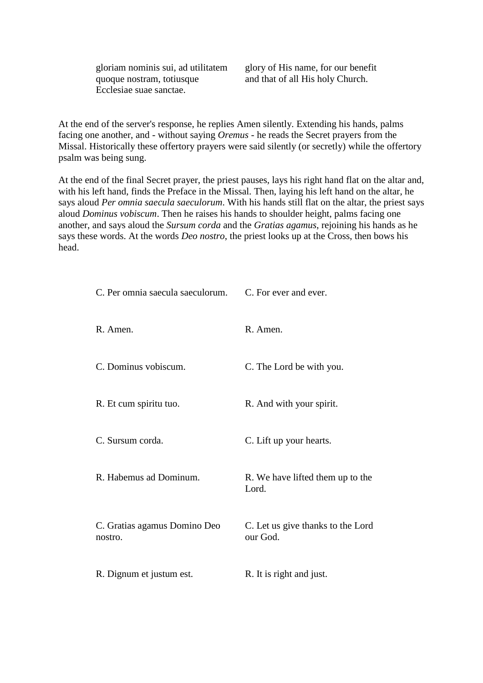gloriam nominis sui, ad utilitatem quoque nostram, totiusque Ecclesiae suae sanctae.

glory of His name, for our benefit and that of all His holy Church.

At the end of the server's response, he replies Amen silently. Extending his hands, palms facing one another, and - without saying *Oremus* - he reads the Secret prayers from the Missal. Historically these offertory prayers were said silently (or secretly) while the offertory psalm was being sung.

At the end of the final Secret prayer, the priest pauses, lays his right hand flat on the altar and, with his left hand, finds the Preface in the Missal. Then, laying his left hand on the altar, he says aloud *Per omnia saecula saeculorum*. With his hands still flat on the altar, the priest says aloud *Dominus vobiscum*. Then he raises his hands to shoulder height, palms facing one another, and says aloud the *Sursum corda* and the *Gratias agamus*, rejoining his hands as he says these words. At the words *Deo nostro*, the priest looks up at the Cross, then bows his head.

| C. Per omnia saecula saeculorum.        | C. For ever and ever.                         |
|-----------------------------------------|-----------------------------------------------|
| R. Amen.                                | R. Amen.                                      |
| C. Dominus vobiscum.                    | C. The Lord be with you.                      |
| R. Et cum spiritu tuo.                  | R. And with your spirit.                      |
| C. Sursum corda.                        | C. Lift up your hearts.                       |
| R. Habemus ad Dominum.                  | R. We have lifted them up to the<br>Lord.     |
| C. Gratias agamus Domino Deo<br>nostro. | C. Let us give thanks to the Lord<br>our God. |
| R. Dignum et justum est.                | R. It is right and just.                      |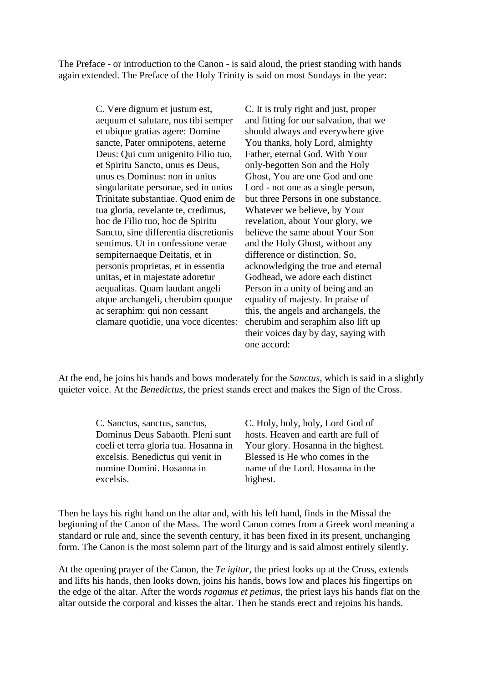The Preface - or introduction to the Canon - is said aloud, the priest standing with hands again extended. The Preface of the Holy Trinity is said on most Sundays in the year:

> C. Vere dignum et justum est, aequum et salutare, nos tibi semper et ubique gratias agere: Domine sancte, Pater omnipotens, aeterne Deus: Qui cum unigenito Filio tuo, et Spiritu Sancto, unus es Deus, unus es Dominus: non in unius singularitate personae, sed in unius Trinitate substantiae. Quod enim de tua gloria, revelante te, credimus, hoc de Filio tuo, hoc de Spiritu Sancto, sine differentia discretionis sentimus. Ut in confessione verae sempiternaeque Deitatis, et in personis proprietas, et in essentia unitas, et in majestate adoretur aequalitas. Quam laudant angeli atque archangeli, cherubim quoque ac seraphim: qui non cessant clamare quotidie, una voce dicentes:

C. It is truly right and just, proper and fitting for our salvation, that we should always and everywhere give You thanks, holy Lord, almighty Father, eternal God. With Your only-begotten Son and the Holy Ghost, You are one God and one Lord - not one as a single person, but three Persons in one substance. Whatever we believe, by Your revelation, about Your glory, we believe the same about Your Son and the Holy Ghost, without any difference or distinction. So, acknowledging the true and eternal Godhead, we adore each distinct Person in a unity of being and an equality of majesty. In praise of this, the angels and archangels, the cherubim and seraphim also lift up their voices day by day, saying with one accord:

At the end, he joins his hands and bows moderately for the *Sanctus*, which is said in a slightly quieter voice. At the *Benedictus*, the priest stands erect and makes the Sign of the Cross.

> C. Sanctus, sanctus, sanctus, Dominus Deus Sabaoth. Pleni sunt coeli et terra gloria tua. Hosanna in excelsis. Benedictus qui venit in nomine Domini. Hosanna in excelsis.

C. Holy, holy, holy, Lord God of hosts. Heaven and earth are full of Your glory. Hosanna in the highest. Blessed is He who comes in the name of the Lord. Hosanna in the highest.

Then he lays his right hand on the altar and, with his left hand, finds in the Missal the beginning of the Canon of the Mass. The word Canon comes from a Greek word meaning a standard or rule and, since the seventh century, it has been fixed in its present, unchanging form. The Canon is the most solemn part of the liturgy and is said almost entirely silently.

At the opening prayer of the Canon, the *Te igitur*, the priest looks up at the Cross, extends and lifts his hands, then looks down, joins his hands, bows low and places his fingertips on the edge of the altar. After the words *rogamus et petimus*, the priest lays his hands flat on the altar outside the corporal and kisses the altar. Then he stands erect and rejoins his hands.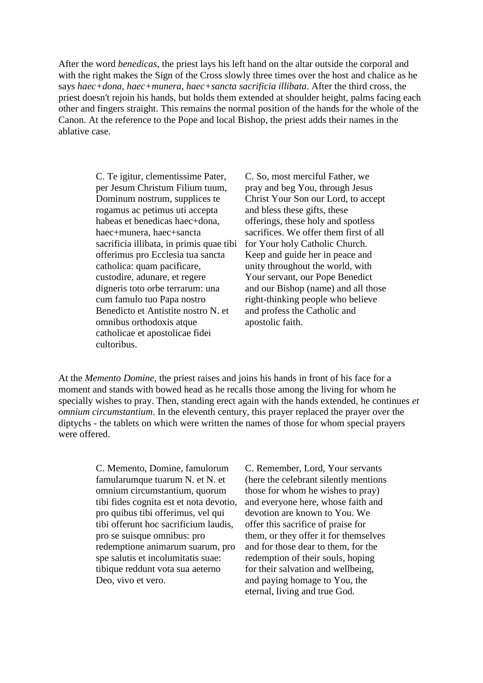After the word *benedicas*, the priest lays his left hand on the altar outside the corporal and with the right makes the Sign of the Cross slowly three times over the host and chalice as he says *haec+dona, haec+munera, haec+sancta sacrificia illibata*. After the third cross, the priest doesn't rejoin his hands, but holds them extended at shoulder height, palms facing each other and fingers straight. This remains the normal position of the hands for the whole of the Canon. At the reference to the Pope and local Bishop, the priest adds their names in the ablative case.

> C. Te igitur, clementissime Pater, per Jesum Christum Filium tuum, Dominum nostrum, supplices te rogamus ac petimus uti accepta habeas et benedicas haec+dona. haec+munera, haec+sancta sacrificia illibata, in primis quae tibi offerimus pro Ecclesia tua sancta catholica: quam pacificare, custodire, adunare, et regere digneris toto orbe terrarum: una cum famulo tuo Papa nostro Benedicto et Antistite nostro N. et omnibus orthodoxis atque catholicae et apostolicae fidei cultoribus.

C. So, most merciful Father, we pray and beg You, through Jesus Christ Your Son our Lord, to accept and bless these gifts, these offerings, these holy and spotless sacrifices. We offer them first of all for Your holy Catholic Church. Keep and guide her in peace and unity throughout the world, with Your servant, our Pope Benedict and our Bishop (name) and all those right-thinking people who believe and profess the Catholic and apostolic faith.

At the *Memento Domine*, the priest raises and joins his hands in front of his face for a moment and stands with bowed head as he recalls those among the living for whom he specially wishes to pray. Then, standing erect again with the hands extended, he continues *et omnium circumstantium*. In the eleventh century, this prayer replaced the prayer over the diptychs - the tablets on which were written the names of those for whom special prayers were offered.

> C. Memento, Domine, famulorum famularumque tuarum N. et N. et omnium circumstantium, quorum tibi fides cognita est et nota devotio, pro quibus tibi offerimus, vel qui tibi offerunt hoc sacrificium laudis, pro se suisque omnibus: pro redemptione animarum suarum, pro spe salutis et incolumitatis suae: tibique reddunt vota sua aeterno Deo, vivo et vero.

C. Remember, Lord, Your servants (here the celebrant silently mentions those for whom he wishes to pray) and everyone here, whose faith and devotion are known to You. We offer this sacrifice of praise for them, or they offer it for themselves and for those dear to them, for the redemption of their souls, hoping for their salvation and wellbeing, and paying homage to You, the eternal, living and true God.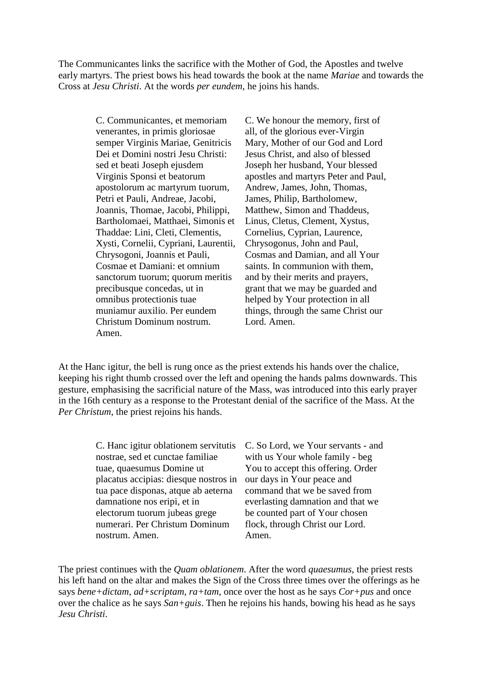The Communicantes links the sacrifice with the Mother of God, the Apostles and twelve early martyrs. The priest bows his head towards the book at the name *Mariae* and towards the Cross at *Jesu Christi*. At the words *per eundem*, he joins his hands.

> C. Communicantes, et memoriam venerantes, in primis gloriosae semper Virginis Mariae, Genitricis Dei et Domini nostri Jesu Christi: sed et beati Joseph ejusdem Virginis Sponsi et beatorum apostolorum ac martyrum tuorum, Petri et Pauli, Andreae, Jacobi, Joannis, Thomae, Jacobi, Philippi, Bartholomaei, Matthaei, Simonis et Thaddae: Lini, Cleti, Clementis, Xysti, Cornelii, Cypriani, Laurentii, Chrysogoni, Joannis et Pauli, Cosmae et Damiani: et omnium sanctorum tuorum; quorum meritis precibusque concedas, ut in omnibus protectionis tuae muniamur auxilio. Per eundem Christum Dominum nostrum. Amen.

C. We honour the memory, first of all, of the glorious ever-Virgin Mary, Mother of our God and Lord Jesus Christ, and also of blessed Joseph her husband, Your blessed apostles and martyrs Peter and Paul, Andrew, James, John, Thomas, James, Philip, Bartholomew, Matthew, Simon and Thaddeus, Linus, Cletus, Clement, Xystus, Cornelius, Cyprian, Laurence, Chrysogonus, John and Paul, Cosmas and Damian, and all Your saints. In communion with them, and by their merits and prayers, grant that we may be guarded and helped by Your protection in all things, through the same Christ our Lord. Amen.

At the Hanc igitur, the bell is rung once as the priest extends his hands over the chalice, keeping his right thumb crossed over the left and opening the hands palms downwards. This gesture, emphasising the sacrificial nature of the Mass, was introduced into this early prayer in the 16th century as a response to the Protestant denial of the sacrifice of the Mass. At the *Per Christum*, the priest rejoins his hands.

> C. Hanc igitur oblationem servitutis nostrae, sed et cunctae familiae tuae, quaesumus Domine ut placatus accipias: diesque nostros in tua pace disponas, atque ab aeterna damnatione nos eripi, et in electorum tuorum jubeas grege numerari. Per Christum Dominum nostrum. Amen.

C. So Lord, we Your servants - and with us Your whole family - beg You to accept this offering. Order our days in Your peace and command that we be saved from everlasting damnation and that we be counted part of Your chosen flock, through Christ our Lord. Amen.

The priest continues with the *Quam oblationem*. After the word *quaesumus*, the priest rests his left hand on the altar and makes the Sign of the Cross three times over the offerings as he says *bene+dictam, ad+scriptam, ra+tam*, once over the host as he says *Cor+pus* and once over the chalice as he says *San+guis*. Then he rejoins his hands, bowing his head as he says *Jesu Christi*.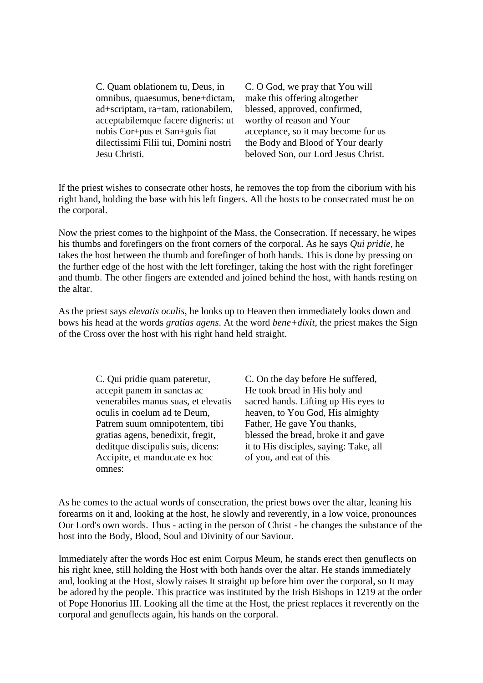C. Quam oblationem tu, Deus, in omnibus, quaesumus, bene+dictam, ad+scriptam, ra+tam, rationabilem, acceptabilemque facere digneris: ut nobis Cor+pus et San+guis fiat dilectissimi Filii tui, Domini nostri Jesu Christi.

C. O God, we pray that You will make this offering altogether blessed, approved, confirmed, worthy of reason and Your acceptance, so it may become for us the Body and Blood of Your dearly beloved Son, our Lord Jesus Christ.

If the priest wishes to consecrate other hosts, he removes the top from the ciborium with his right hand, holding the base with his left fingers. All the hosts to be consecrated must be on the corporal.

Now the priest comes to the highpoint of the Mass, the Consecration. If necessary, he wipes his thumbs and forefingers on the front corners of the corporal. As he says *Qui pridie*, he takes the host between the thumb and forefinger of both hands. This is done by pressing on the further edge of the host with the left forefinger, taking the host with the right forefinger and thumb. The other fingers are extended and joined behind the host, with hands resting on the altar.

As the priest says *elevatis oculis*, he looks up to Heaven then immediately looks down and bows his head at the words *gratias agens*. At the word *bene+dixit*, the priest makes the Sign of the Cross over the host with his right hand held straight.

> C. Qui pridie quam pateretur, accepit panem in sanctas ac venerabiles manus suas, et elevatis oculis in coelum ad te Deum, Patrem suum omnipotentem, tibi gratias agens, benedixit, fregit, deditque discipulis suis, dicens: Accipite, et manducate ex hoc omnes:

C. On the day before He suffered, He took bread in His holy and sacred hands. Lifting up His eyes to heaven, to You God, His almighty Father, He gave You thanks, blessed the bread, broke it and gave it to His disciples, saying: Take, all of you, and eat of this

As he comes to the actual words of consecration, the priest bows over the altar, leaning his forearms on it and, looking at the host, he slowly and reverently, in a low voice, pronounces Our Lord's own words. Thus - acting in the person of Christ - he changes the substance of the host into the Body, Blood, Soul and Divinity of our Saviour.

Immediately after the words Hoc est enim Corpus Meum, he stands erect then genuflects on his right knee, still holding the Host with both hands over the altar. He stands immediately and, looking at the Host, slowly raises It straight up before him over the corporal, so It may be adored by the people. This practice was instituted by the Irish Bishops in 1219 at the order of Pope Honorius III. Looking all the time at the Host, the priest replaces it reverently on the corporal and genuflects again, his hands on the corporal.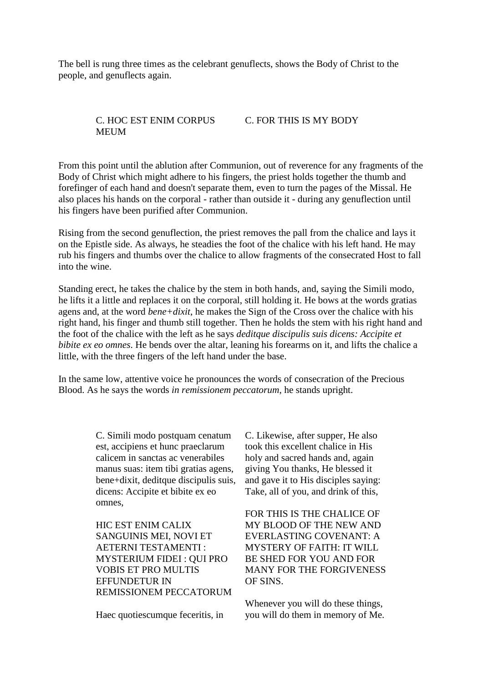The bell is rung three times as the celebrant genuflects, shows the Body of Christ to the people, and genuflects again.

#### C. HOC EST ENIM CORPUS MEUM C. FOR THIS IS MY BODY

From this point until the ablution after Communion, out of reverence for any fragments of the Body of Christ which might adhere to his fingers, the priest holds together the thumb and forefinger of each hand and doesn't separate them, even to turn the pages of the Missal. He also places his hands on the corporal - rather than outside it - during any genuflection until his fingers have been purified after Communion.

Rising from the second genuflection, the priest removes the pall from the chalice and lays it on the Epistle side. As always, he steadies the foot of the chalice with his left hand. He may rub his fingers and thumbs over the chalice to allow fragments of the consecrated Host to fall into the wine.

Standing erect, he takes the chalice by the stem in both hands, and, saying the Simili modo, he lifts it a little and replaces it on the corporal, still holding it. He bows at the words gratias agens and, at the word *bene+dixit*, he makes the Sign of the Cross over the chalice with his right hand, his finger and thumb still together. Then he holds the stem with his right hand and the foot of the chalice with the left as he says *deditque discipulis suis dicens: Accipite et bibite ex eo omnes*. He bends over the altar, leaning his forearms on it, and lifts the chalice a little, with the three fingers of the left hand under the base.

In the same low, attentive voice he pronounces the words of consecration of the Precious Blood. As he says the words *in remissionem peccatorum*, he stands upright.

> C. Simili modo postquam cenatum est, accipiens et hunc praeclarum calicem in sanctas ac venerabiles manus suas: item tibi gratias agens, bene+dixit, deditque discipulis suis, dicens: Accipite et bibite ex eo omnes,

HIC EST ENIM CALIX SANGUINIS MEI, NOVI ET AETERNI TESTAMENTI : MYSTERIUM FIDEI : QUI PRO VOBIS ET PRO MULTIS EFFUNDETUR IN REMISSIONEM PECCATORUM

Haec quotiescumque feceritis, in

C. Likewise, after supper, He also took this excellent chalice in His holy and sacred hands and, again giving You thanks, He blessed it and gave it to His disciples saying: Take, all of you, and drink of this,

FOR THIS IS THE CHALICE OF MY BLOOD OF THE NEW AND EVERLASTING COVENANT: A MYSTERY OF FAITH: IT WILL BE SHED FOR YOU AND FOR MANY FOR THE FORGIVENESS OF SINS.

Whenever you will do these things, you will do them in memory of Me.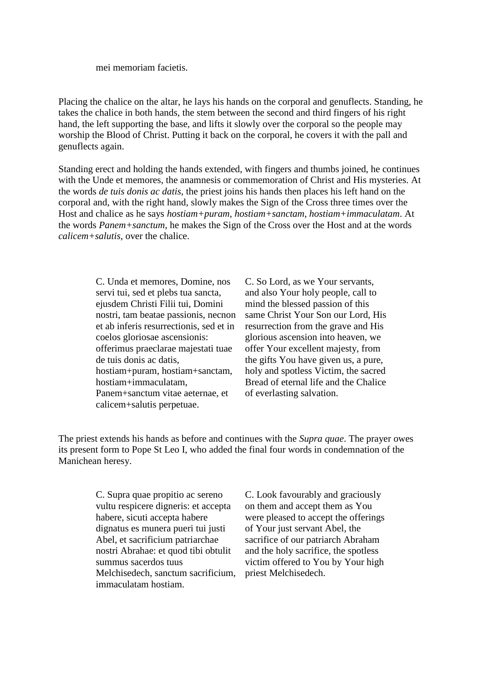mei memoriam facietis.

Placing the chalice on the altar, he lays his hands on the corporal and genuflects. Standing, he takes the chalice in both hands, the stem between the second and third fingers of his right hand, the left supporting the base, and lifts it slowly over the corporal so the people may worship the Blood of Christ. Putting it back on the corporal, he covers it with the pall and genuflects again.

Standing erect and holding the hands extended, with fingers and thumbs joined, he continues with the Unde et memores, the anamnesis or commemoration of Christ and His mysteries. At the words *de tuis donis ac datis*, the priest joins his hands then places his left hand on the corporal and, with the right hand, slowly makes the Sign of the Cross three times over the Host and chalice as he says *hostiam+puram, hostiam+sanctam, hostiam+immaculatam*. At the words *Panem+sanctum*, he makes the Sign of the Cross over the Host and at the words *calicem+salutis*, over the chalice.

> C. Unda et memores, Domine, nos servi tui, sed et plebs tua sancta, ejusdem Christi Filii tui, Domini nostri, tam beatae passionis, necnon et ab inferis resurrectionis, sed et in coelos gloriosae ascensionis: offerimus praeclarae majestati tuae de tuis donis ac datis, hostiam+puram, hostiam+sanctam, hostiam+immaculatam, Panem+sanctum vitae aeternae, et calicem+salutis perpetuae.

C. So Lord, as we Your servants, and also Your holy people, call to mind the blessed passion of this same Christ Your Son our Lord, His resurrection from the grave and His glorious ascension into heaven, we offer Your excellent majesty, from the gifts You have given us, a pure, holy and spotless Victim, the sacred Bread of eternal life and the Chalice of everlasting salvation.

The priest extends his hands as before and continues with the *Supra quae*. The prayer owes its present form to Pope St Leo I, who added the final four words in condemnation of the Manichean heresy.

> C. Supra quae propitio ac sereno vultu respicere digneris: et accepta habere, sicuti accepta habere dignatus es munera pueri tui justi Abel, et sacrificium patriarchae nostri Abrahae: et quod tibi obtulit summus sacerdos tuus Melchisedech, sanctum sacrificium, immaculatam hostiam.

C. Look favourably and graciously on them and accept them as You were pleased to accept the offerings of Your just servant Abel, the sacrifice of our patriarch Abraham and the holy sacrifice, the spotless victim offered to You by Your high priest Melchisedech.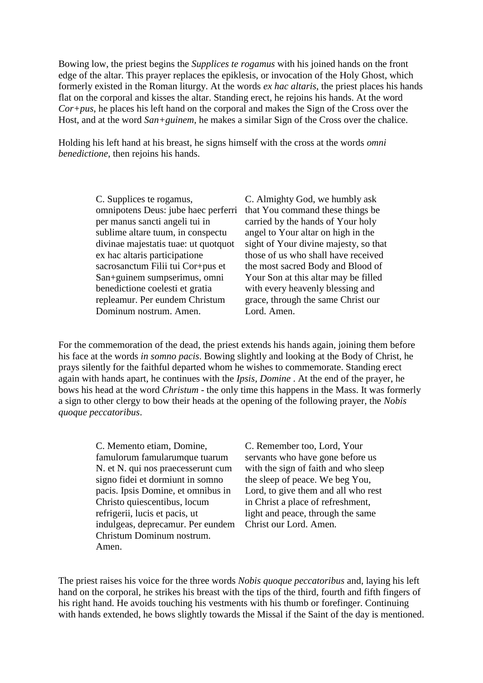Bowing low, the priest begins the *Supplices te rogamus* with his joined hands on the front edge of the altar. This prayer replaces the epiklesis, or invocation of the Holy Ghost, which formerly existed in the Roman liturgy. At the words *ex hac altaris*, the priest places his hands flat on the corporal and kisses the altar. Standing erect, he rejoins his hands. At the word *Cor+pus*, he places his left hand on the corporal and makes the Sign of the Cross over the Host, and at the word *San+guinem*, he makes a similar Sign of the Cross over the chalice.

Holding his left hand at his breast, he signs himself with the cross at the words *omni benedictione*, then rejoins his hands.

> C. Supplices te rogamus, omnipotens Deus: jube haec perferri per manus sancti angeli tui in sublime altare tuum, in conspectu divinae majestatis tuae: ut quotquot ex hac altaris participatione sacrosanctum Filii tui Cor+pus et San+guinem sumpserimus, omni benedictione coelesti et gratia repleamur. Per eundem Christum Dominum nostrum. Amen.

C. Almighty God, we humbly ask that You command these things be carried by the hands of Your holy angel to Your altar on high in the sight of Your divine majesty, so that those of us who shall have received the most sacred Body and Blood of Your Son at this altar may be filled with every heavenly blessing and grace, through the same Christ our Lord. Amen.

For the commemoration of the dead, the priest extends his hands again, joining them before his face at the words *in somno pacis*. Bowing slightly and looking at the Body of Christ, he prays silently for the faithful departed whom he wishes to commemorate. Standing erect again with hands apart, he continues with the *Ipsis, Domine* . At the end of the prayer, he bows his head at the word *Christum* - the only time this happens in the Mass. It was formerly a sign to other clergy to bow their heads at the opening of the following prayer, the *Nobis quoque peccatoribus*.

> C. Memento etiam, Domine, famulorum famularumque tuarum N. et N. qui nos praecesserunt cum signo fidei et dormiunt in somno pacis. Ipsis Domine, et omnibus in Christo quiescentibus, locum refrigerii, lucis et pacis, ut indulgeas, deprecamur. Per eundem Christum Dominum nostrum. Amen.

C. Remember too, Lord, Your servants who have gone before us with the sign of faith and who sleep the sleep of peace. We beg You, Lord, to give them and all who rest in Christ a place of refreshment, light and peace, through the same Christ our Lord. Amen.

The priest raises his voice for the three words *Nobis quoque peccatoribus* and, laying his left hand on the corporal, he strikes his breast with the tips of the third, fourth and fifth fingers of his right hand. He avoids touching his vestments with his thumb or forefinger. Continuing with hands extended, he bows slightly towards the Missal if the Saint of the day is mentioned.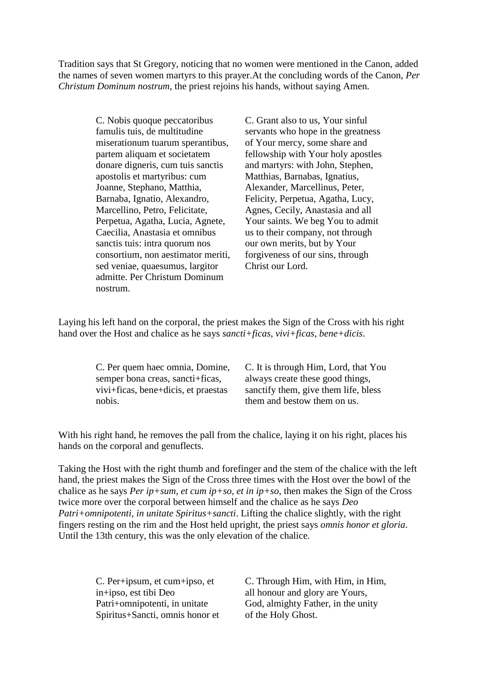Tradition says that St Gregory, noticing that no women were mentioned in the Canon, added the names of seven women martyrs to this prayer.At the concluding words of the Canon, *Per Christum Dominum nostrum*, the priest rejoins his hands, without saying Amen.

> C. Nobis quoque peccatoribus famulis tuis, de multitudine miserationum tuarum sperantibus, partem aliquam et societatem donare digneris, cum tuis sanctis apostolis et martyribus: cum Joanne, Stephano, Matthia, Barnaba, Ignatio, Alexandro, Marcellino, Petro, Felicitate, Perpetua, Agatha, Lucia, Agnete, Caecilia, Anastasia et omnibus sanctis tuis: intra quorum nos consortium, non aestimator meriti, sed veniae, quaesumus, largitor admitte. Per Christum Dominum nostrum.

C. Grant also to us, Your sinful servants who hope in the greatness of Your mercy, some share and fellowship with Your holy apostles and martyrs: with John, Stephen, Matthias, Barnabas, Ignatius, Alexander, Marcellinus, Peter, Felicity, Perpetua, Agatha, Lucy, Agnes, Cecily, Anastasia and all Your saints. We beg You to admit us to their company, not through our own merits, but by Your forgiveness of our sins, through Christ our Lord.

Laying his left hand on the corporal, the priest makes the Sign of the Cross with his right hand over the Host and chalice as he says *sancti+ficas, vivi+ficas, bene+dicis*.

> C. Per quem haec omnia, Domine, semper bona creas, sancti+ficas, vivi+ficas, bene+dicis, et praestas nobis.

C. It is through Him, Lord, that You always create these good things, sanctify them, give them life, bless them and bestow them on us.

With his right hand, he removes the pall from the chalice, laying it on his right, places his hands on the corporal and genuflects.

Taking the Host with the right thumb and forefinger and the stem of the chalice with the left hand, the priest makes the Sign of the Cross three times with the Host over the bowl of the chalice as he says *Per ip+sum, et cum ip+so, et in ip+so*, then makes the Sign of the Cross twice more over the corporal between himself and the chalice as he says *Deo Patri+omnipotenti, in unitate Spiritus+sancti*. Lifting the chalice slightly, with the right fingers resting on the rim and the Host held upright, the priest says *omnis honor et gloria*. Until the 13th century, this was the only elevation of the chalice.

> C. Per+ipsum, et cum+ipso, et in+ipso, est tibi Deo Patri+omnipotenti, in unitate Spiritus+Sancti, omnis honor et

C. Through Him, with Him, in Him, all honour and glory are Yours, God, almighty Father, in the unity of the Holy Ghost.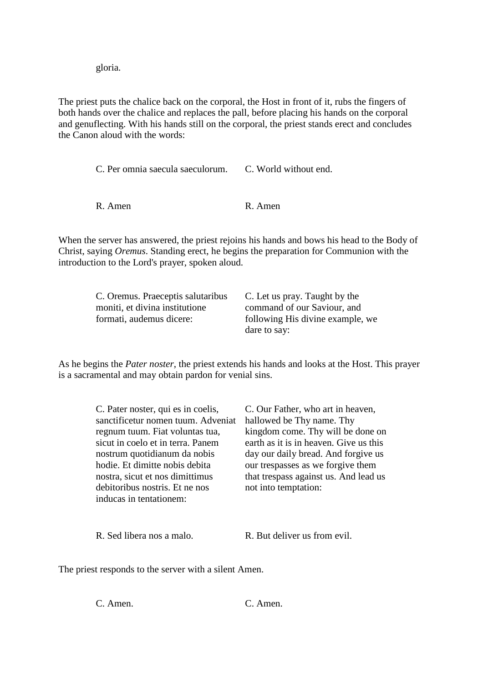gloria.

The priest puts the chalice back on the corporal, the Host in front of it, rubs the fingers of both hands over the chalice and replaces the pall, before placing his hands on the corporal and genuflecting. With his hands still on the corporal, the priest stands erect and concludes the Canon aloud with the words:

> C. Per omnia saecula saeculorum. C. World without end. R. Amen R. Amen

When the server has answered, the priest rejoins his hands and bows his head to the Body of Christ, saying *Oremus*. Standing erect, he begins the preparation for Communion with the introduction to the Lord's prayer, spoken aloud.

| C. Oremus. Praeceptis salutaribus | C. Let us pray. Taught by the    |
|-----------------------------------|----------------------------------|
| moniti, et divina institutione    | command of our Saviour, and      |
| formati, audemus dicere:          | following His divine example, we |
|                                   | dare to say:                     |

As he begins the *Pater noster*, the priest extends his hands and looks at the Host. This prayer is a sacramental and may obtain pardon for venial sins.

| C. Pater noster, qui es in coelis, | C. Our Father, who art in heaven,      |
|------------------------------------|----------------------------------------|
| sanctificetur nomen tuum. Adveniat | hallowed be Thy name. Thy              |
| regnum tuum. Fiat voluntas tua,    | kingdom come. Thy will be done on      |
| sicut in coelo et in terra. Panem  | earth as it is in heaven. Give us this |
| nostrum quotidianum da nobis       | day our daily bread. And forgive us    |
| hodie. Et dimitte nobis debita     | our trespasses as we for give them     |
| nostra, sicut et nos dimittimus    | that trespass against us. And lead us  |
| debitoribus nostris. Et ne nos     | not into temptation:                   |
| inducas in tentationem:            |                                        |
|                                    |                                        |
|                                    |                                        |

R. Sed libera nos a malo. R. But deliver us from evil.

The priest responds to the server with a silent Amen.

C. Amen. C. Amen.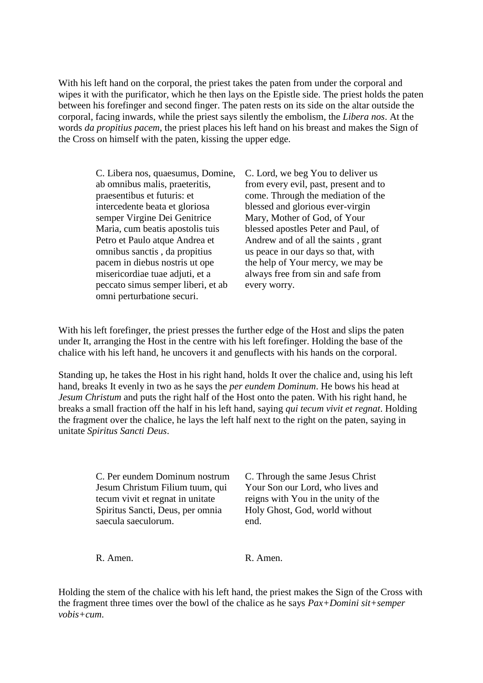With his left hand on the corporal, the priest takes the paten from under the corporal and wipes it with the purificator, which he then lays on the Epistle side. The priest holds the paten between his forefinger and second finger. The paten rests on its side on the altar outside the corporal, facing inwards, while the priest says silently the embolism, the *Libera nos*. At the words *da propitius pacem*, the priest places his left hand on his breast and makes the Sign of the Cross on himself with the paten, kissing the upper edge.

> C. Libera nos, quaesumus, Domine, ab omnibus malis, praeteritis, praesentibus et futuris: et intercedente beata et gloriosa semper Virgine Dei Genitrice Maria, cum beatis apostolis tuis Petro et Paulo atque Andrea et omnibus sanctis , da propitius pacem in diebus nostris ut ope misericordiae tuae adjuti, et a peccato simus semper liberi, et ab omni perturbatione securi.

C. Lord, we beg You to deliver us from every evil, past, present and to come. Through the mediation of the blessed and glorious ever-virgin Mary, Mother of God, of Your blessed apostles Peter and Paul, of Andrew and of all the saints , grant us peace in our days so that, with the help of Your mercy, we may be always free from sin and safe from every worry.

With his left fore finger, the priest presses the further edge of the Host and slips the paten under It, arranging the Host in the centre with his left forefinger. Holding the base of the chalice with his left hand, he uncovers it and genuflects with his hands on the corporal.

Standing up, he takes the Host in his right hand, holds It over the chalice and, using his left hand, breaks It evenly in two as he says the *per eundem Dominum*. He bows his head at *Jesum Christum* and puts the right half of the Host onto the paten. With his right hand, he breaks a small fraction off the half in his left hand, saying *qui tecum vivit et regnat*. Holding the fragment over the chalice, he lays the left half next to the right on the paten, saying in unitate *Spiritus Sancti Deus*.

> C. Per eundem Dominum nostrum Jesum Christum Filium tuum, qui tecum vivit et regnat in unitate Spiritus Sancti, Deus, per omnia saecula saeculorum.

C. Through the same Jesus Christ Your Son our Lord, who lives and reigns with You in the unity of the Holy Ghost, God, world without end.

R. Amen. R. Amen.

Holding the stem of the chalice with his left hand, the priest makes the Sign of the Cross with the fragment three times over the bowl of the chalice as he says *Pax+Domini sit+semper vobis+cum*.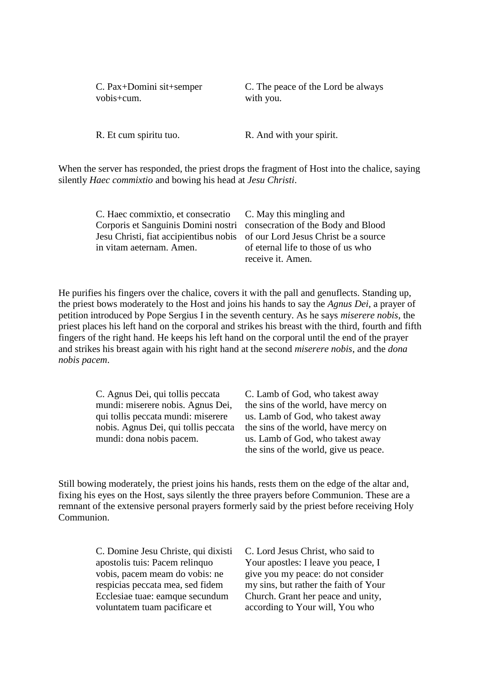C. Pax+Domini sit+semper vobis+cum.

C. The peace of the Lord be always with you.

R. Et cum spiritu tuo. R. And with your spirit.

When the server has responded, the priest drops the fragment of Host into the chalice, saying silently *Haec commixtio* and bowing his head at *Jesu Christi*.

| C. Haec commixtio, et consecratio C. May this mingling and                  |                                    |
|-----------------------------------------------------------------------------|------------------------------------|
| Corporis et Sanguinis Domini nostri consecration of the Body and Blood      |                                    |
| Jesu Christi, fiat accipientibus nobis of our Lord Jesus Christ be a source |                                    |
| in vitam aeternam. Amen.                                                    | of eternal life to those of us who |
|                                                                             | receive it. Amen.                  |

He purifies his fingers over the chalice, covers it with the pall and genuflects. Standing up, the priest bows moderately to the Host and joins his hands to say the *Agnus Dei*, a prayer of petition introduced by Pope Sergius I in the seventh century. As he says *miserere nobis*, the priest places his left hand on the corporal and strikes his breast with the third, fourth and fifth fingers of the right hand. He keeps his left hand on the corporal until the end of the prayer and strikes his breast again with his right hand at the second *miserere nobis*, and the *dona nobis pacem*.

> C. Agnus Dei, qui tollis peccata mundi: miserere nobis. Agnus Dei, qui tollis peccata mundi: miserere nobis. Agnus Dei, qui tollis peccata mundi: dona nobis pacem.

C. Lamb of God, who takest away the sins of the world, have mercy on us. Lamb of God, who takest away the sins of the world, have mercy on us. Lamb of God, who takest away the sins of the world, give us peace.

Still bowing moderately, the priest joins his hands, rests them on the edge of the altar and, fixing his eyes on the Host, says silently the three prayers before Communion. These are a remnant of the extensive personal prayers formerly said by the priest before receiving Holy Communion.

> C. Domine Jesu Christe, qui dixisti apostolis tuis: Pacem relinquo vobis, pacem meam do vobis: ne respicias peccata mea, sed fidem Ecclesiae tuae: eamque secundum voluntatem tuam pacificare et

C. Lord Jesus Christ, who said to Your apostles: I leave you peace, I give you my peace: do not consider my sins, but rather the faith of Your Church. Grant her peace and unity, according to Your will, You who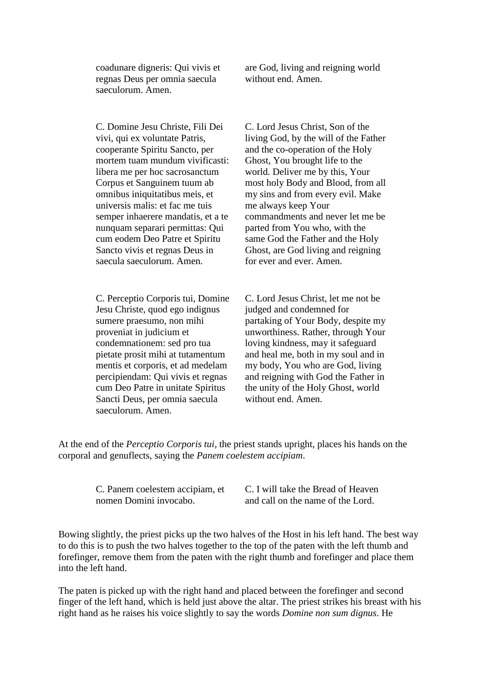coadunare digneris: Qui vivis et regnas Deus per omnia saecula saeculorum. Amen.

C. Domine Jesu Christe, Fili Dei vivi, qui ex voluntate Patris, cooperante Spiritu Sancto, per mortem tuam mundum vivificasti: libera me per hoc sacrosanctum Corpus et Sanguinem tuum ab omnibus iniquitatibus meis, et universis malis: et fac me tuis semper inhaerere mandatis, et a te nunquam separari permittas: Qui cum eodem Deo Patre et Spiritu Sancto vivis et regnas Deus in saecula saeculorum. Amen.

C. Perceptio Corporis tui, Domine Jesu Christe, quod ego indignus sumere praesumo, non mihi proveniat in judicium et condemnationem: sed pro tua pietate prosit mihi at tutamentum mentis et corporis, et ad medelam percipiendam: Qui vivis et regnas cum Deo Patre in unitate Spiritus Sancti Deus, per omnia saecula saeculorum. Amen.

are God, living and reigning world without end. Amen.

C. Lord Jesus Christ, Son of the living God, by the will of the Father and the co-operation of the Holy Ghost, You brought life to the world. Deliver me by this, Your most holy Body and Blood, from all my sins and from every evil. Make me always keep Your commandments and never let me be parted from You who, with the same God the Father and the Holy Ghost, are God living and reigning for ever and ever. Amen.

C. Lord Jesus Christ, let me not be judged and condemned for partaking of Your Body, despite my unworthiness. Rather, through Your loving kindness, may it safeguard and heal me, both in my soul and in my body, You who are God, living and reigning with God the Father in the unity of the Holy Ghost, world without end. Amen.

At the end of the *Perceptio Corporis tui*, the priest stands upright, places his hands on the corporal and genuflects, saying the *Panem coelestem accipiam*.

> C. Panem coelestem accipiam, et nomen Domini invocabo.

C. I will take the Bread of Heaven and call on the name of the Lord.

Bowing slightly, the priest picks up the two halves of the Host in his left hand. The best way to do this is to push the two halves together to the top of the paten with the left thumb and forefinger, remove them from the paten with the right thumb and forefinger and place them into the left hand.

The paten is picked up with the right hand and placed between the forefinger and second finger of the left hand, which is held just above the altar. The priest strikes his breast with his right hand as he raises his voice slightly to say the words *Domine non sum dignus*. He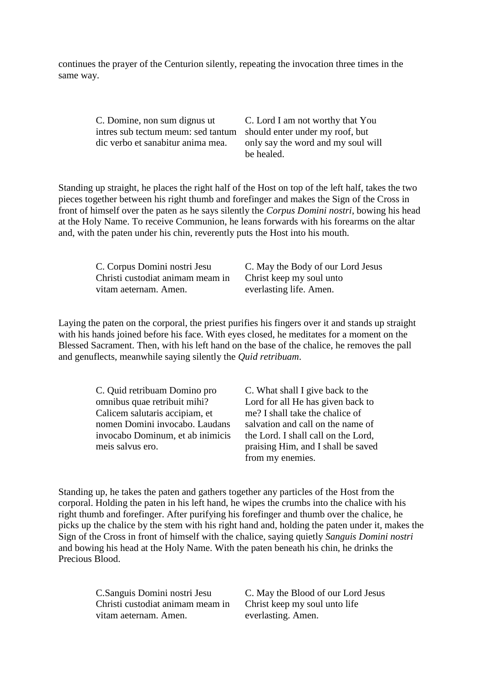continues the prayer of the Centurion silently, repeating the invocation three times in the same way.

> C. Domine, non sum dignus ut intres sub tectum meum: sed tantum dic verbo et sanabitur anima mea.

C. Lord I am not worthy that You should enter under my roof, but only say the word and my soul will be healed.

Standing up straight, he places the right half of the Host on top of the left half, takes the two pieces together between his right thumb and forefinger and makes the Sign of the Cross in front of himself over the paten as he says silently the *Corpus Domini nostri*, bowing his head at the Holy Name. To receive Communion, he leans forwards with his forearms on the altar and, with the paten under his chin, reverently puts the Host into his mouth.

C. Corpus Domini nostri Jesu Christi custodiat animam meam in vitam aeternam. Amen.

C. May the Body of our Lord Jesus Christ keep my soul unto everlasting life. Amen.

Laying the paten on the corporal, the priest purifies his fingers over it and stands up straight with his hands joined before his face. With eyes closed, he meditates for a moment on the Blessed Sacrament. Then, with his left hand on the base of the chalice, he removes the pall and genuflects, meanwhile saying silently the *Quid retribuam*.

> C. Quid retribuam Domino pro omnibus quae retribuit mihi? Calicem salutaris accipiam, et nomen Domini invocabo. Laudans invocabo Dominum, et ab inimicis meis salvus ero.

C. What shall I give back to the Lord for all He has given back to me? I shall take the chalice of salvation and call on the name of the Lord. I shall call on the Lord, praising Him, and I shall be saved from my enemies.

Standing up, he takes the paten and gathers together any particles of the Host from the corporal. Holding the paten in his left hand, he wipes the crumbs into the chalice with his right thumb and forefinger. After purifying his forefinger and thumb over the chalice, he picks up the chalice by the stem with his right hand and, holding the paten under it, makes the Sign of the Cross in front of himself with the chalice, saying quietly *Sanguis Domini nostri* and bowing his head at the Holy Name. With the paten beneath his chin, he drinks the Precious Blood.

> C.Sanguis Domini nostri Jesu Christi custodiat animam meam in vitam aeternam. Amen.

C. May the Blood of our Lord Jesus Christ keep my soul unto life everlasting. Amen.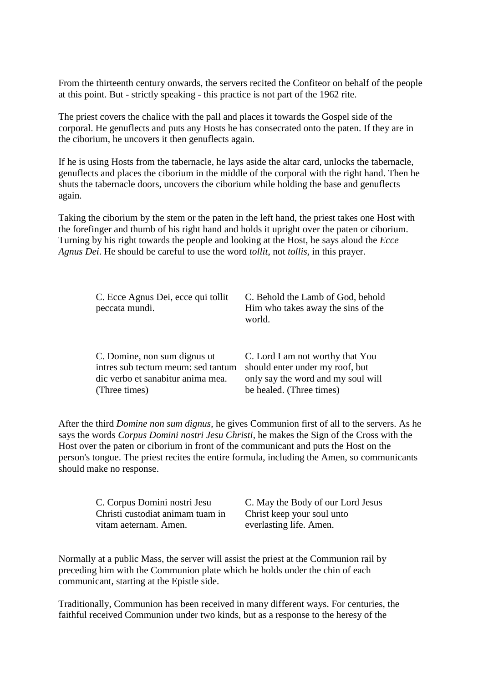From the thirteenth century onwards, the servers recited the Confiteor on behalf of the people at this point. But - strictly speaking - this practice is not part of the 1962 rite.

The priest covers the chalice with the pall and places it towards the Gospel side of the corporal. He genuflects and puts any Hosts he has consecrated onto the paten. If they are in the ciborium, he uncovers it then genuflects again.

If he is using Hosts from the tabernacle, he lays aside the altar card, unlocks the tabernacle, genuflects and places the ciborium in the middle of the corporal with the right hand. Then he shuts the tabernacle doors, uncovers the ciborium while holding the base and genuflects again.

Taking the ciborium by the stem or the paten in the left hand, the priest takes one Host with the forefinger and thumb of his right hand and holds it upright over the paten or ciborium. Turning by his right towards the people and looking at the Host, he says aloud the *Ecce Agnus Dei*. He should be careful to use the word *tollit*, not *tollis*, in this prayer.

| C. Ecce Agnus Dei, ecce qui tollit<br>peccata mundi. | C. Behold the Lamb of God, behold<br>Him who takes away the sins of the<br>world. |
|------------------------------------------------------|-----------------------------------------------------------------------------------|
| C. Domine, non sum dignus ut                         | C. Lord I am not worthy that You                                                  |
| intres sub tectum meum: sed tantum                   | should enter under my roof, but                                                   |
| dic verbo et sanabitur anima mea.                    | only say the word and my soul will                                                |
| (Three times)                                        | be healed. (Three times)                                                          |

After the third *Domine non sum dignus*, he gives Communion first of all to the servers. As he says the words *Corpus Domini nostri Jesu Christi*, he makes the Sign of the Cross with the Host over the paten or ciborium in front of the communicant and puts the Host on the person's tongue. The priest recites the entire formula, including the Amen, so communicants should make no response.

> C. Corpus Domini nostri Jesu Christi custodiat animam tuam in vitam aeternam. Amen.

C. May the Body of our Lord Jesus Christ keep your soul unto everlasting life. Amen.

Normally at a public Mass, the server will assist the priest at the Communion rail by preceding him with the Communion plate which he holds under the chin of each communicant, starting at the Epistle side.

Traditionally, Communion has been received in many different ways. For centuries, the faithful received Communion under two kinds, but as a response to the heresy of the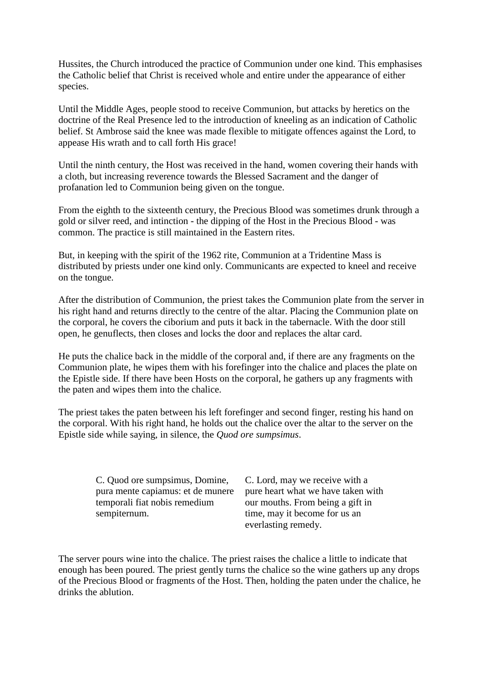Hussites, the Church introduced the practice of Communion under one kind. This emphasises the Catholic belief that Christ is received whole and entire under the appearance of either species.

Until the Middle Ages, people stood to receive Communion, but attacks by heretics on the doctrine of the Real Presence led to the introduction of kneeling as an indication of Catholic belief. St Ambrose said the knee was made flexible to mitigate offences against the Lord, to appease His wrath and to call forth His grace!

Until the ninth century, the Host was received in the hand, women covering their hands with a cloth, but increasing reverence towards the Blessed Sacrament and the danger of profanation led to Communion being given on the tongue.

From the eighth to the sixteenth century, the Precious Blood was sometimes drunk through a gold or silver reed, and intinction - the dipping of the Host in the Precious Blood - was common. The practice is still maintained in the Eastern rites.

But, in keeping with the spirit of the 1962 rite, Communion at a Tridentine Mass is distributed by priests under one kind only. Communicants are expected to kneel and receive on the tongue.

After the distribution of Communion, the priest takes the Communion plate from the server in his right hand and returns directly to the centre of the altar. Placing the Communion plate on the corporal, he covers the ciborium and puts it back in the tabernacle. With the door still open, he genuflects, then closes and locks the door and replaces the altar card.

He puts the chalice back in the middle of the corporal and, if there are any fragments on the Communion plate, he wipes them with his forefinger into the chalice and places the plate on the Epistle side. If there have been Hosts on the corporal, he gathers up any fragments with the paten and wipes them into the chalice.

The priest takes the paten between his left forefinger and second finger, resting his hand on the corporal. With his right hand, he holds out the chalice over the altar to the server on the Epistle side while saying, in silence, the *Quod ore sumpsimus*.

> C. Quod ore sumpsimus, Domine, pura mente capiamus: et de munere temporali fiat nobis remedium sempiternum.

C. Lord, may we receive with a pure heart what we have taken with our mouths. From being a gift in time, may it become for us an everlasting remedy.

The server pours wine into the chalice. The priest raises the chalice a little to indicate that enough has been poured. The priest gently turns the chalice so the wine gathers up any drops of the Precious Blood or fragments of the Host. Then, holding the paten under the chalice, he drinks the ablution.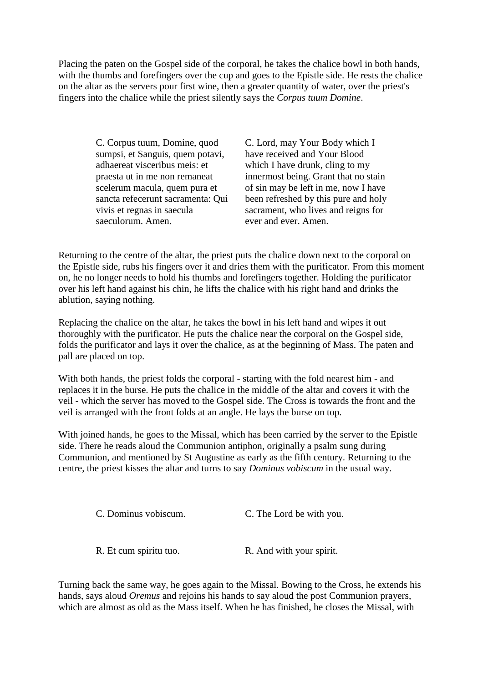Placing the paten on the Gospel side of the corporal, he takes the chalice bowl in both hands, with the thumbs and forefingers over the cup and goes to the Epistle side. He rests the chalice on the altar as the servers pour first wine, then a greater quantity of water, over the priest's fingers into the chalice while the priest silently says the *Corpus tuum Domine*.

> C. Corpus tuum, Domine, quod sumpsi, et Sanguis, quem potavi, adhaereat visceribus meis: et praesta ut in me non remaneat scelerum macula, quem pura et sancta refecerunt sacramenta: Qui vivis et regnas in saecula saeculorum. Amen.

C. Lord, may Your Body which I have received and Your Blood which I have drunk, cling to my innermost being. Grant that no stain of sin may be left in me, now I have been refreshed by this pure and holy sacrament, who lives and reigns for ever and ever. Amen.

Returning to the centre of the altar, the priest puts the chalice down next to the corporal on the Epistle side, rubs his fingers over it and dries them with the purificator. From this moment on, he no longer needs to hold his thumbs and forefingers together. Holding the purificator over his left hand against his chin, he lifts the chalice with his right hand and drinks the ablution, saying nothing.

Replacing the chalice on the altar, he takes the bowl in his left hand and wipes it out thoroughly with the purificator. He puts the chalice near the corporal on the Gospel side, folds the purificator and lays it over the chalice, as at the beginning of Mass. The paten and pall are placed on top.

With both hands, the priest folds the corporal - starting with the fold nearest him - and replaces it in the burse. He puts the chalice in the middle of the altar and covers it with the veil - which the server has moved to the Gospel side. The Cross is towards the front and the veil is arranged with the front folds at an angle. He lays the burse on top.

With joined hands, he goes to the Missal, which has been carried by the server to the Epistle side. There he reads aloud the Communion antiphon, originally a psalm sung during Communion, and mentioned by St Augustine as early as the fifth century. Returning to the centre, the priest kisses the altar and turns to say *Dominus vobiscum* in the usual way.

C. Dominus vobiscum. C. The Lord be with you.

R. Et cum spiritu tuo. R. And with your spirit.

Turning back the same way, he goes again to the Missal. Bowing to the Cross, he extends his hands, says aloud *Oremus* and rejoins his hands to say aloud the post Communion prayers, which are almost as old as the Mass itself. When he has finished, he closes the Missal, with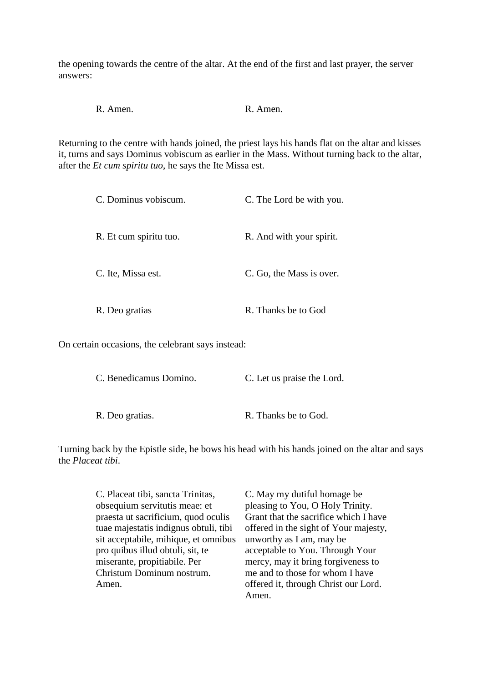the opening towards the centre of the altar. At the end of the first and last prayer, the server answers:

R. Amen. R. Amen.

Returning to the centre with hands joined, the priest lays his hands flat on the altar and kisses it, turns and says Dominus vobiscum as earlier in the Mass. Without turning back to the altar, after the *Et cum spiritu tuo*, he says the Ite Missa est.

| C. Dominus vobiscum.   | C. The Lord be with you. |
|------------------------|--------------------------|
| R. Et cum spiritu tuo. | R. And with your spirit. |
| C. Ite, Missa est.     | C. Go, the Mass is over. |
| R. Deo gratias         | R. Thanks be to God      |

On certain occasions, the celebrant says instead:

| C. Benedicamus Domino. | C. Let us praise the Lord. |
|------------------------|----------------------------|
|                        |                            |
| R. Deo gratias.        | R. Thanks be to God.       |

Turning back by the Epistle side, he bows his head with his hands joined on the altar and says the *Placeat tibi*.

| C. Placeat tibi, sancta Trinitas,     | C. May my dutiful homage be.          |
|---------------------------------------|---------------------------------------|
| obsequium servitutis meae: et         | pleasing to You, O Holy Trinity.      |
| praesta ut sacrificium, quod oculis   | Grant that the sacrifice which I have |
| tuae majestatis indignus obtuli, tibi | offered in the sight of Your majesty, |
| sit acceptabile, mihique, et omnibus  | unworthy as I am, may be              |
| pro quibus illud obtuli, sit, te      | acceptable to You. Through Your       |
| miserante, propitiabile. Per          | mercy, may it bring forgiveness to    |
| Christum Dominum nostrum.             | me and to those for whom I have       |
| Amen.                                 | offered it, through Christ our Lord.  |
|                                       | Amen.                                 |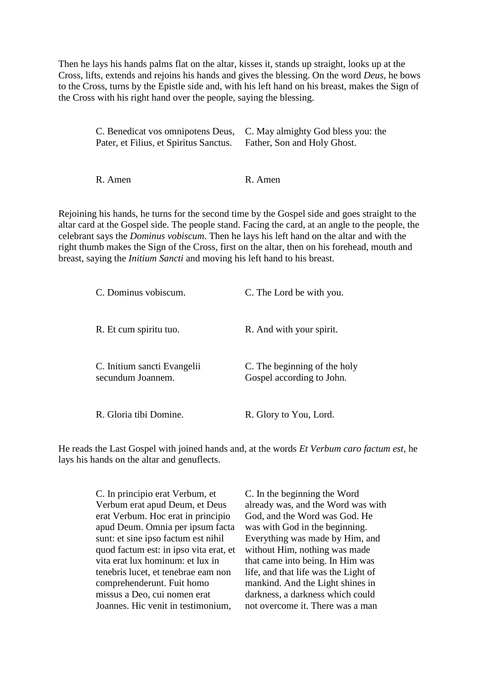Then he lays his hands palms flat on the altar, kisses it, stands up straight, looks up at the Cross, lifts, extends and rejoins his hands and gives the blessing. On the word *Deus*, he bows to the Cross, turns by the Epistle side and, with his left hand on his breast, makes the Sign of the Cross with his right hand over the people, saying the blessing.

> C. Benedicat vos omnipotens Deus, Pater, et Filius, et Spiritus Sanctus. C. May almighty God bless you: the Father, Son and Holy Ghost.

R. Amen R. Amen

Rejoining his hands, he turns for the second time by the Gospel side and goes straight to the altar card at the Gospel side. The people stand. Facing the card, at an angle to the people, the celebrant says the *Dominus vobiscum*. Then he lays his left hand on the altar and with the right thumb makes the Sign of the Cross, first on the altar, then on his forehead, mouth and breast, saying the *Initium Sancti* and moving his left hand to his breast.

| C. Dominus vobiscum.                             | C. The Lord be with you.                                  |
|--------------------------------------------------|-----------------------------------------------------------|
| R. Et cum spiritu tuo.                           | R. And with your spirit.                                  |
| C. Initium sancti Evangelii<br>secundum Joannem. | C. The beginning of the holy<br>Gospel according to John. |
| R. Gloria tibi Domine.                           | R. Glory to You, Lord.                                    |

He reads the Last Gospel with joined hands and, at the words *Et Verbum caro factum est*, he lays his hands on the altar and genuflects.

> C. In principio erat Verbum, et Verbum erat apud Deum, et Deus erat Verbum. Hoc erat in principio apud Deum. Omnia per ipsum facta sunt: et sine ipso factum est nihil quod factum est: in ipso vita erat, et vita erat lux hominum: et lux in tenebris lucet, et tenebrae eam non comprehenderunt. Fuit homo missus a Deo, cui nomen erat Joannes. Hic venit in testimonium,

C. In the beginning the Word already was, and the Word was with God, and the Word was God. He was with God in the beginning. Everything was made by Him, and without Him, nothing was made that came into being. In Him was life, and that life was the Light of mankind. And the Light shines in darkness, a darkness which could not overcome it. There was a man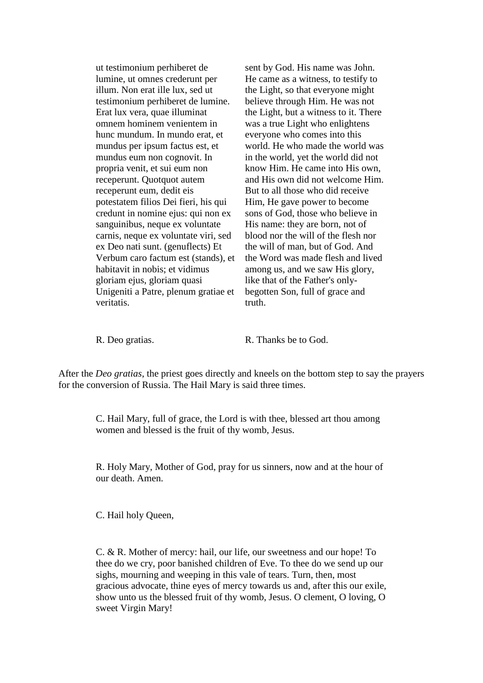ut testimonium perhiberet de lumine, ut omnes crederunt per illum. Non erat ille lux, sed ut testimonium perhiberet de lumine. Erat lux vera, quae illuminat omnem hominem venientem in hunc mundum. In mundo erat, et mundus per ipsum factus est, et mundus eum non cognovit. In propria venit, et sui eum non receperunt. Quotquot autem receperunt eum, dedit eis potestatem filios Dei fieri, his qui credunt in nomine ejus: qui non ex sanguinibus, neque ex voluntate carnis, neque ex voluntate viri, sed ex Deo nati sunt. (genuflects) Et Verbum caro factum est (stands), et habitavit in nobis; et vidimus gloriam ejus, gloriam quasi Unigeniti a Patre, plenum gratiae et veritatis.

sent by God. His name was John. He came as a witness, to testify to the Light, so that everyone might believe through Him. He was not the Light, but a witness to it. There was a true Light who enlightens everyone who comes into this world. He who made the world was in the world, yet the world did not know Him. He came into His own, and His own did not welcome Him. But to all those who did receive Him, He gave power to become sons of God, those who believe in His name: they are born, not of blood nor the will of the flesh nor the will of man, but of God. And the Word was made flesh and lived among us, and we saw His glory, like that of the Father's onlybegotten Son, full of grace and truth.

R. Deo gratias. R. Thanks be to God.

After the *Deo gratias*, the priest goes directly and kneels on the bottom step to say the prayers for the conversion of Russia. The Hail Mary is said three times.

> C. Hail Mary, full of grace, the Lord is with thee, blessed art thou among women and blessed is the fruit of thy womb, Jesus.

R. Holy Mary, Mother of God, pray for us sinners, now and at the hour of our death. Amen.

C. Hail holy Queen,

C. & R. Mother of mercy: hail, our life, our sweetness and our hope! To thee do we cry, poor banished children of Eve. To thee do we send up our sighs, mourning and weeping in this vale of tears. Turn, then, most gracious advocate, thine eyes of mercy towards us and, after this our exile, show unto us the blessed fruit of thy womb, Jesus. O clement, O loving, O sweet Virgin Mary!